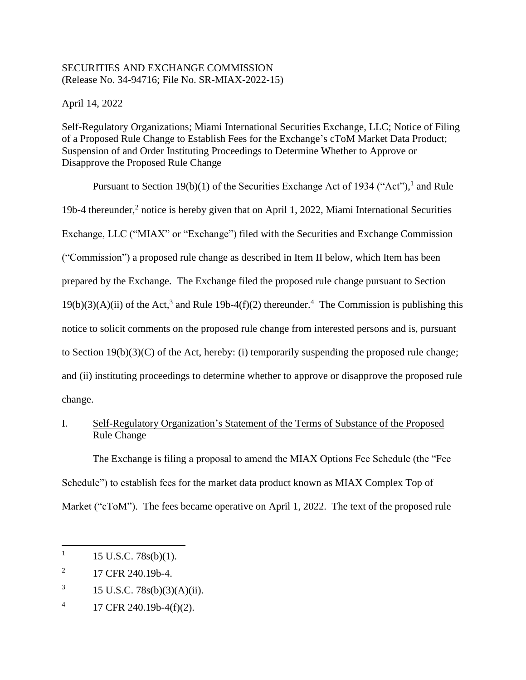## SECURITIES AND EXCHANGE COMMISSION (Release No. 34-94716; File No. SR-MIAX-2022-15)

April 14, 2022

Self-Regulatory Organizations; Miami International Securities Exchange, LLC; Notice of Filing of a Proposed Rule Change to Establish Fees for the Exchange's cToM Market Data Product; Suspension of and Order Instituting Proceedings to Determine Whether to Approve or Disapprove the Proposed Rule Change

Pursuant to Section 19(b)(1) of the Securities Exchange Act of 1934 ("Act"), and Rule 19b-4 thereunder,<sup>2</sup> notice is hereby given that on April 1, 2022, Miami International Securities Exchange, LLC ("MIAX" or "Exchange") filed with the Securities and Exchange Commission ("Commission") a proposed rule change as described in Item II below, which Item has been prepared by the Exchange. The Exchange filed the proposed rule change pursuant to Section  $19(b)(3)(A)(ii)$  of the Act,<sup>3</sup> and Rule 19b-4(f)(2) thereunder.<sup>4</sup> The Commission is publishing this notice to solicit comments on the proposed rule change from interested persons and is, pursuant to Section 19(b)(3)(C) of the Act, hereby: (i) temporarily suspending the proposed rule change; and (ii) instituting proceedings to determine whether to approve or disapprove the proposed rule change.

# I. Self-Regulatory Organization's Statement of the Terms of Substance of the Proposed Rule Change

The Exchange is filing a proposal to amend the MIAX Options Fee Schedule (the "Fee Schedule") to establish fees for the market data product known as MIAX Complex Top of Market ("cToM"). The fees became operative on April 1, 2022. The text of the proposed rule

<sup>1</sup> 15 U.S.C. 78s(b)(1).

<sup>2</sup> 17 CFR 240.19b-4.

<sup>3</sup> 15 U.S.C. 78s(b)(3)(A)(ii).

<sup>4</sup> 17 CFR 240.19b-4(f)(2).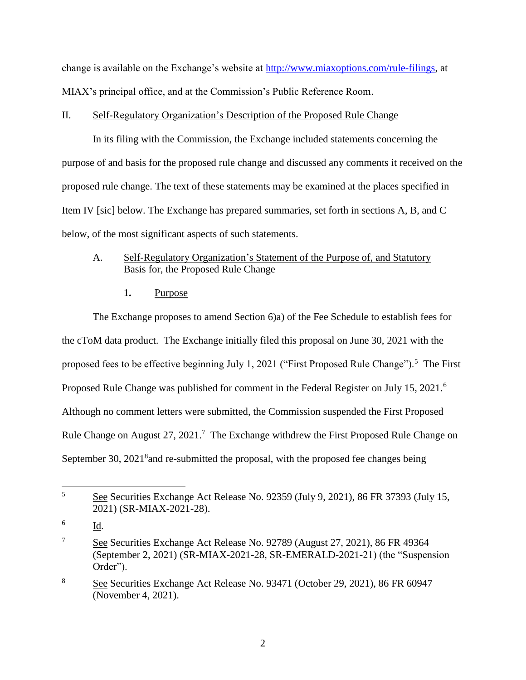change is available on the Exchange's website at [http://www.miaxoptions.com/rule-filings,](http://www.miaxoptions.com/rule-filings) at MIAX's principal office, and at the Commission's Public Reference Room.

## II. Self-Regulatory Organization's Description of the Proposed Rule Change

In its filing with the Commission, the Exchange included statements concerning the purpose of and basis for the proposed rule change and discussed any comments it received on the proposed rule change. The text of these statements may be examined at the places specified in Item IV [sic] below. The Exchange has prepared summaries, set forth in sections A, B, and C below, of the most significant aspects of such statements.

# A. Self-Regulatory Organization's Statement of the Purpose of, and Statutory Basis for, the Proposed Rule Change

<span id="page-1-0"></span>1**.** Purpose

The Exchange proposes to amend Section 6)a) of the Fee Schedule to establish fees for the cToM data product. The Exchange initially filed this proposal on June 30, 2021 with the proposed fees to be effective beginning July 1, 2021 ("First Proposed Rule Change").<sup>5</sup> The First Proposed Rule Change was published for comment in the Federal Register on July 15, 2021.<sup>6</sup> Although no comment letters were submitted, the Commission suspended the First Proposed Rule Change on August  $27, 2021$ .<sup>7</sup> The Exchange withdrew the First Proposed Rule Change on September 30,  $2021<sup>8</sup>$  and re-submitted the proposal, with the proposed fee changes being

 $\overline{a}$ 5 See Securities Exchange Act Release No. 92359 (July 9, 2021), 86 FR 37393 (July 15, 2021) (SR-MIAX-2021-28).

<sup>6</sup> Id.

<sup>7</sup> See Securities Exchange Act Release No. 92789 (August 27, 2021), 86 FR 49364 (September 2, 2021) (SR-MIAX-2021-28, SR-EMERALD-2021-21) (the "Suspension Order").

<sup>8</sup> See Securities Exchange Act Release No. 93471 (October 29, 2021), 86 FR 60947 (November 4, 2021).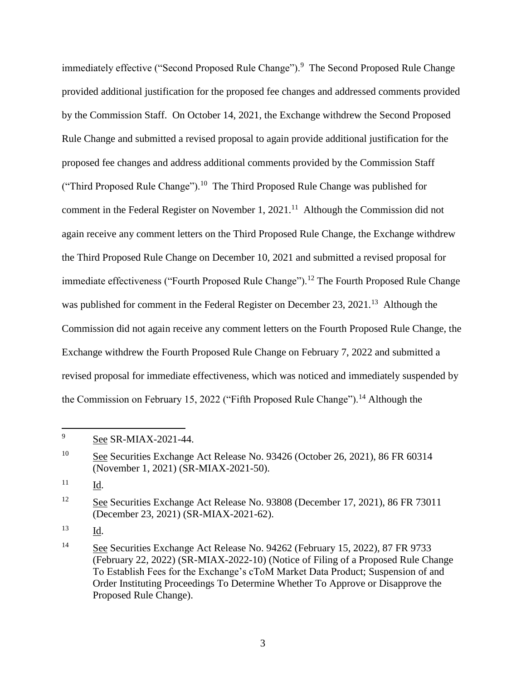immediately effective ("Second Proposed Rule Change").<sup>9</sup> The Second Proposed Rule Change provided additional justification for the proposed fee changes and addressed comments provided by the Commission Staff. On October 14, 2021, the Exchange withdrew the Second Proposed Rule Change and submitted a revised proposal to again provide additional justification for the proposed fee changes and address additional comments provided by the Commission Staff ("Third Proposed Rule Change").<sup>10</sup> The Third Proposed Rule Change was published for comment in the Federal Register on November 1,  $2021$ <sup>11</sup> Although the Commission did not again receive any comment letters on the Third Proposed Rule Change, the Exchange withdrew the Third Proposed Rule Change on December 10, 2021 and submitted a revised proposal for immediate effectiveness ("Fourth Proposed Rule Change").<sup>12</sup> The Fourth Proposed Rule Change was published for comment in the Federal Register on December 23, 2021.<sup>13</sup> Although the Commission did not again receive any comment letters on the Fourth Proposed Rule Change, the Exchange withdrew the Fourth Proposed Rule Change on February 7, 2022 and submitted a revised proposal for immediate effectiveness, which was noticed and immediately suspended by the Commission on February 15, 2022 ("Fifth Proposed Rule Change").<sup>14</sup> Although the

11 Id.

 $\overline{a}$ 

13 Id.

<sup>9</sup> See SR-MIAX-2021-44.

<sup>&</sup>lt;sup>10</sup> See Securities Exchange Act Release No. 93426 (October 26, 2021), 86 FR 60314 (November 1, 2021) (SR-MIAX-2021-50).

<sup>&</sup>lt;sup>12</sup> See Securities Exchange Act Release No. 93808 (December 17, 2021), 86 FR 73011 (December 23, 2021) (SR-MIAX-2021-62).

<sup>14</sup> See Securities Exchange Act Release No. 94262 (February 15, 2022), 87 FR 9733 (February 22, 2022) (SR-MIAX-2022-10) (Notice of Filing of a Proposed Rule Change To Establish Fees for the Exchange's cToM Market Data Product; Suspension of and Order Instituting Proceedings To Determine Whether To Approve or Disapprove the Proposed Rule Change).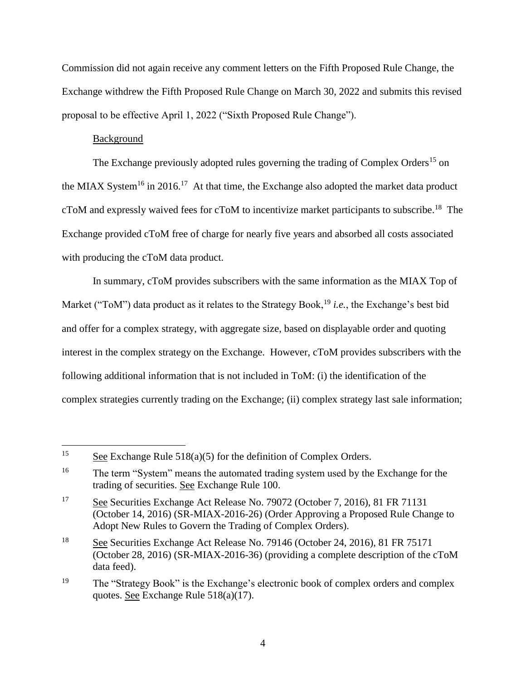Commission did not again receive any comment letters on the Fifth Proposed Rule Change, the Exchange withdrew the Fifth Proposed Rule Change on March 30, 2022 and submits this revised proposal to be effective April 1, 2022 ("Sixth Proposed Rule Change").

## Background

 $\overline{a}$ 

The Exchange previously adopted rules governing the trading of Complex Orders<sup>15</sup> on the MIAX System<sup>16</sup> in 2016.<sup>17</sup> At that time, the Exchange also adopted the market data product cToM and expressly waived fees for cToM to incentivize market participants to subscribe.<sup>18</sup> The Exchange provided cToM free of charge for nearly five years and absorbed all costs associated with producing the cToM data product.

In summary, cToM provides subscribers with the same information as the MIAX Top of Market ("ToM") data product as it relates to the Strategy Book,<sup>19</sup> *i.e.*, the Exchange's best bid and offer for a complex strategy, with aggregate size, based on displayable order and quoting interest in the complex strategy on the Exchange. However, cToM provides subscribers with the following additional information that is not included in ToM: (i) the identification of the complex strategies currently trading on the Exchange; (ii) complex strategy last sale information;

<sup>&</sup>lt;sup>15</sup> See Exchange Rule 518(a)(5) for the definition of Complex Orders.

<sup>&</sup>lt;sup>16</sup> The term "System" means the automated trading system used by the Exchange for the trading of securities. See Exchange Rule 100.

<sup>17</sup> See Securities Exchange Act Release No. 79072 (October 7, 2016), 81 FR 71131 (October 14, 2016) (SR-MIAX-2016-26) (Order Approving a Proposed Rule Change to Adopt New Rules to Govern the Trading of Complex Orders).

<sup>18</sup> See Securities Exchange Act Release No. 79146 (October 24, 2016), 81 FR 75171 (October 28, 2016) (SR-MIAX-2016-36) (providing a complete description of the cToM data feed).

<sup>&</sup>lt;sup>19</sup> The "Strategy Book" is the Exchange's electronic book of complex orders and complex quotes. See Exchange Rule 518(a)(17).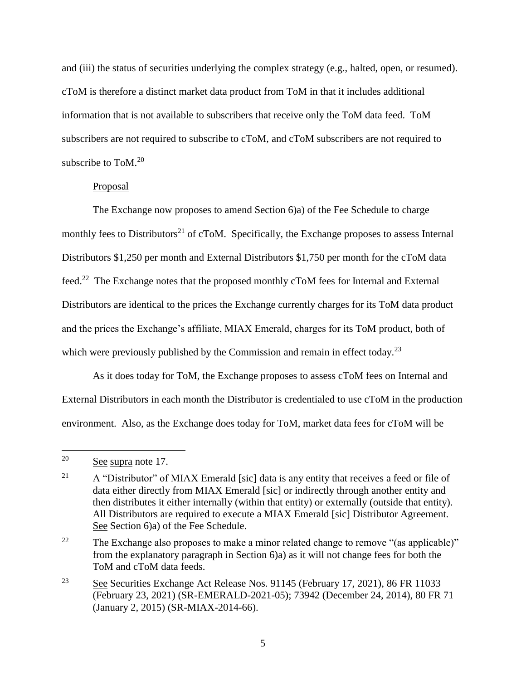and (iii) the status of securities underlying the complex strategy (e.g., halted, open, or resumed). cToM is therefore a distinct market data product from ToM in that it includes additional information that is not available to subscribers that receive only the ToM data feed. ToM subscribers are not required to subscribe to cToM, and cToM subscribers are not required to subscribe to  $\text{ToM}$ <sup>20</sup>

## **Proposal**

The Exchange now proposes to amend Section 6)a) of the Fee Schedule to charge monthly fees to Distributors<sup>21</sup> of cToM. Specifically, the Exchange proposes to assess Internal Distributors \$1,250 per month and External Distributors \$1,750 per month for the cToM data feed.<sup>22</sup> The Exchange notes that the proposed monthly cToM fees for Internal and External Distributors are identical to the prices the Exchange currently charges for its ToM data product and the prices the Exchange's affiliate, MIAX Emerald, charges for its ToM product, both of which were previously published by the Commission and remain in effect today.<sup>23</sup>

As it does today for ToM, the Exchange proposes to assess cToM fees on Internal and External Distributors in each month the Distributor is credentialed to use cToM in the production environment. Also, as the Exchange does today for ToM, market data fees for cToM will be

 $20$  See supra note 17.

<sup>&</sup>lt;sup>21</sup> A "Distributor" of MIAX Emerald [sic] data is any entity that receives a feed or file of data either directly from MIAX Emerald [sic] or indirectly through another entity and then distributes it either internally (within that entity) or externally (outside that entity). All Distributors are required to execute a MIAX Emerald [sic] Distributor Agreement. See Section 6)a) of the Fee Schedule.

<sup>&</sup>lt;sup>22</sup> The Exchange also proposes to make a minor related change to remove "(as applicable)" from the explanatory paragraph in Section 6)a) as it will not change fees for both the ToM and cToM data feeds.

<sup>23</sup> See Securities Exchange Act Release Nos. 91145 (February 17, 2021), 86 FR 11033 (February 23, 2021) (SR-EMERALD-2021-05); 73942 (December 24, 2014), 80 FR 71 (January 2, 2015) (SR-MIAX-2014-66).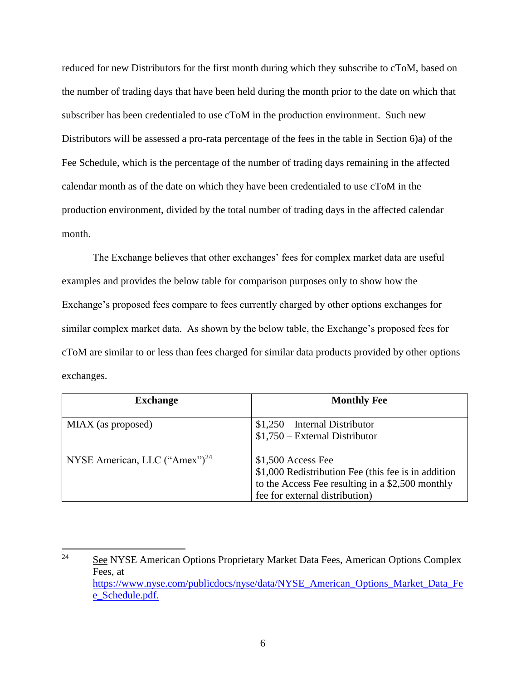reduced for new Distributors for the first month during which they subscribe to cToM, based on the number of trading days that have been held during the month prior to the date on which that subscriber has been credentialed to use cToM in the production environment. Such new Distributors will be assessed a pro-rata percentage of the fees in the table in Section 6)a) of the Fee Schedule, which is the percentage of the number of trading days remaining in the affected calendar month as of the date on which they have been credentialed to use cToM in the production environment, divided by the total number of trading days in the affected calendar month.

The Exchange believes that other exchanges' fees for complex market data are useful examples and provides the below table for comparison purposes only to show how the Exchange's proposed fees compare to fees currently charged by other options exchanges for similar complex market data. As shown by the below table, the Exchange's proposed fees for cToM are similar to or less than fees charged for similar data products provided by other options exchanges.

| <b>Exchange</b>                    | <b>Monthly Fee</b>                                                                                                                                               |
|------------------------------------|------------------------------------------------------------------------------------------------------------------------------------------------------------------|
| MIAX (as proposed)                 | $$1,250$ – Internal Distributor<br>$$1,750$ – External Distributor                                                                                               |
| NYSE American, LLC $("Amex")^{24}$ | $$1,500$ Access Fee<br>\$1,000 Redistribution Fee (this fee is in addition<br>to the Access Fee resulting in a \$2,500 monthly<br>fee for external distribution) |

 $\overline{a}$ <sup>24</sup> See NYSE American Options Proprietary Market Data Fees, American Options Complex Fees, at [https://www.nyse.com/publicdocs/nyse/data/NYSE\\_American\\_Options\\_Market\\_Data\\_Fe](https://www.nyse.com/publicdocs/nyse/data/NYSE_American_Options_Market_Data_Fee_Schedule.pdf) [e\\_Schedule.pdf.](https://www.nyse.com/publicdocs/nyse/data/NYSE_American_Options_Market_Data_Fee_Schedule.pdf)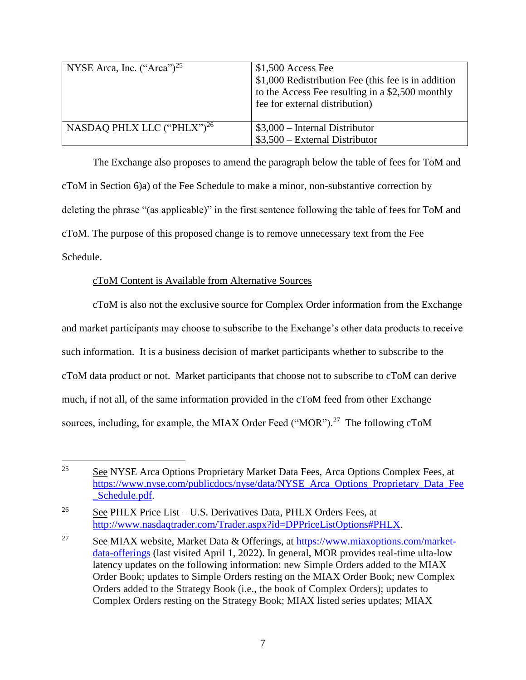| NYSE Arca, Inc. $("Area")^{25}$        | $$1,500$ Access Fee<br>\$1,000 Redistribution Fee (this fee is in addition<br>to the Access Fee resulting in a \$2,500 monthly<br>fee for external distribution) |
|----------------------------------------|------------------------------------------------------------------------------------------------------------------------------------------------------------------|
| NASDAQ PHLX LLC ("PHLX") <sup>26</sup> | $$3,000$ – Internal Distributor<br>$$3,500$ – External Distributor                                                                                               |

The Exchange also proposes to amend the paragraph below the table of fees for ToM and cToM in Section 6)a) of the Fee Schedule to make a minor, non-substantive correction by deleting the phrase "(as applicable)" in the first sentence following the table of fees for ToM and cToM. The purpose of this proposed change is to remove unnecessary text from the Fee Schedule.

# cToM Content is Available from Alternative Sources

 $\overline{a}$ 

cToM is also not the exclusive source for Complex Order information from the Exchange and market participants may choose to subscribe to the Exchange's other data products to receive such information. It is a business decision of market participants whether to subscribe to the cToM data product or not. Market participants that choose not to subscribe to cToM can derive much, if not all, of the same information provided in the cToM feed from other Exchange sources, including, for example, the MIAX Order Feed ("MOR").<sup>27</sup> The following cToM

 $25$  See NYSE Arca Options Proprietary Market Data Fees, Arca Options Complex Fees, at [https://www.nyse.com/publicdocs/nyse/data/NYSE\\_Arca\\_Options\\_Proprietary\\_Data\\_Fee](https://www.nyse.com/publicdocs/nyse/data/NYSE_Arca_Options_Proprietary_Data_Fee_Schedule.pdf) [\\_Schedule.pdf.](https://www.nyse.com/publicdocs/nyse/data/NYSE_Arca_Options_Proprietary_Data_Fee_Schedule.pdf)

<sup>&</sup>lt;sup>26</sup> See PHLX Price List – U.S. Derivatives Data, PHLX Orders Fees, at [http://www.nasdaqtrader.com/Trader.aspx?id=DPPriceListOptions#PHLX.](http://www.nasdaqtrader.com/Trader.aspx?id=DPPriceListOptions#PHLX)

<sup>&</sup>lt;sup>27</sup> See MIAX website, Market Data & Offerings, at [https://www.miaxoptions.com/market](https://www.miaxoptions.com/market-data-offerings)[data-offerings](https://www.miaxoptions.com/market-data-offerings) (last visited April 1, 2022). In general, MOR provides real-time ulta-low latency updates on the following information: new Simple Orders added to the MIAX Order Book; updates to Simple Orders resting on the MIAX Order Book; new Complex Orders added to the Strategy Book (i.e., the book of Complex Orders); updates to Complex Orders resting on the Strategy Book; MIAX listed series updates; MIAX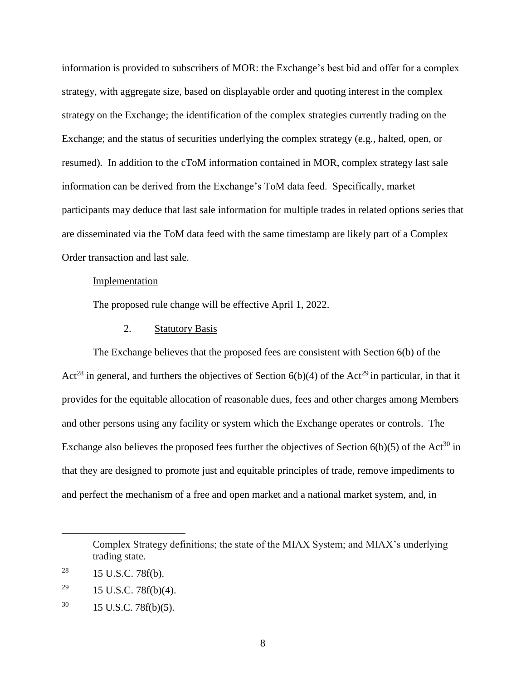information is provided to subscribers of MOR: the Exchange's best bid and offer for a complex strategy, with aggregate size, based on displayable order and quoting interest in the complex strategy on the Exchange; the identification of the complex strategies currently trading on the Exchange; and the status of securities underlying the complex strategy (e.g., halted, open, or resumed). In addition to the cToM information contained in MOR, complex strategy last sale information can be derived from the Exchange's ToM data feed. Specifically, market participants may deduce that last sale information for multiple trades in related options series that are disseminated via the ToM data feed with the same timestamp are likely part of a Complex Order transaction and last sale.

### Implementation

The proposed rule change will be effective April 1, 2022.

### 2. Statutory Basis

The Exchange believes that the proposed fees are consistent with Section 6(b) of the Act<sup>28</sup> in general, and furthers the objectives of Section  $6(b)(4)$  of the Act<sup>29</sup> in particular, in that it provides for the equitable allocation of reasonable dues, fees and other charges among Members and other persons using any facility or system which the Exchange operates or controls. The Exchange also believes the proposed fees further the objectives of Section  $6(b)(5)$  of the Act<sup>30</sup> in that they are designed to promote just and equitable principles of trade, remove impediments to and perfect the mechanism of a free and open market and a national market system, and, in

Complex Strategy definitions; the state of the MIAX System; and MIAX's underlying trading state.

 $^{28}$  15 U.S.C. 78f(b).

<sup>&</sup>lt;sup>29</sup> 15 U.S.C. 78 $f(b)(4)$ .

 $30 \qquad 15 \text{ U.S.C. } 78f(b)(5).$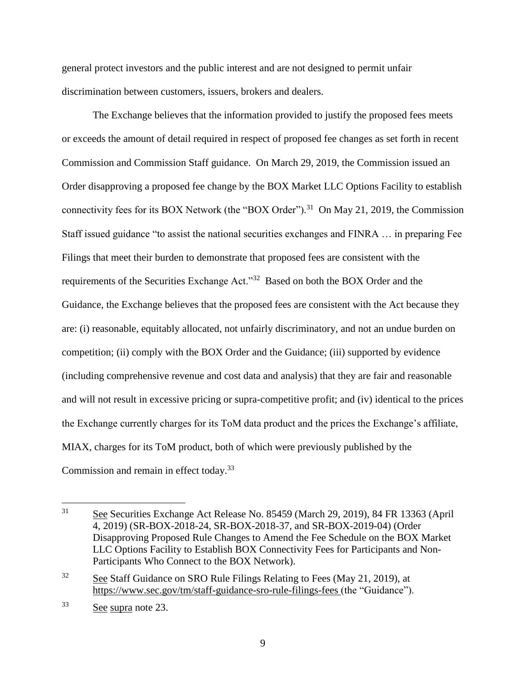general protect investors and the public interest and are not designed to permit unfair discrimination between customers, issuers, brokers and dealers.

The Exchange believes that the information provided to justify the proposed fees meets or exceeds the amount of detail required in respect of proposed fee changes as set forth in recent Commission and Commission Staff guidance. On March 29, 2019, the Commission issued an Order disapproving a proposed fee change by the BOX Market LLC Options Facility to establish connectivity fees for its BOX Network (the "BOX Order").<sup>31</sup> On May 21, 2019, the Commission Staff issued guidance "to assist the national securities exchanges and FINRA … in preparing Fee Filings that meet their burden to demonstrate that proposed fees are consistent with the requirements of the Securities Exchange Act."<sup>32</sup> Based on both the BOX Order and the Guidance, the Exchange believes that the proposed fees are consistent with the Act because they are: (i) reasonable, equitably allocated, not unfairly discriminatory, and not an undue burden on competition; (ii) comply with the BOX Order and the Guidance; (iii) supported by evidence (including comprehensive revenue and cost data and analysis) that they are fair and reasonable and will not result in excessive pricing or supra-competitive profit; and (iv) identical to the prices the Exchange currently charges for its ToM data product and the prices the Exchange's affiliate, MIAX, charges for its ToM product, both of which were previously published by the Commission and remain in effect today.<sup>33</sup>

<sup>31</sup> <sup>31</sup> See Securities Exchange Act Release No. 85459 (March 29, 2019), 84 FR 13363 (April 4, 2019) (SR-BOX-2018-24, SR-BOX-2018-37, and SR-BOX-2019-04) (Order Disapproving Proposed Rule Changes to Amend the Fee Schedule on the BOX Market LLC Options Facility to Establish BOX Connectivity Fees for Participants and Non-Participants Who Connect to the BOX Network).

 $32$  See Staff Guidance on SRO Rule Filings Relating to Fees (May 21, 2019), at <https://www.sec.gov/tm/staff-guidance-sro-rule-filings-fees> (the "Guidance").

<sup>33</sup> See supra note 23.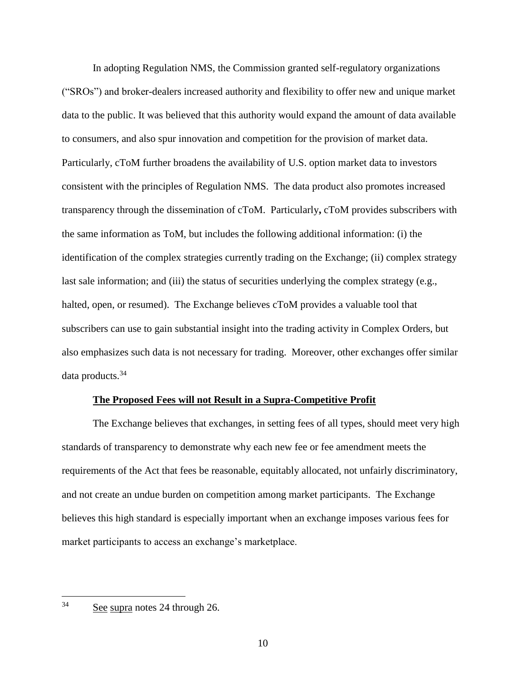In adopting Regulation NMS, the Commission granted self-regulatory organizations ("SROs") and broker-dealers increased authority and flexibility to offer new and unique market data to the public. It was believed that this authority would expand the amount of data available to consumers, and also spur innovation and competition for the provision of market data. Particularly, cToM further broadens the availability of U.S. option market data to investors consistent with the principles of Regulation NMS. The data product also promotes increased transparency through the dissemination of cToM. Particularly**,** cToM provides subscribers with the same information as ToM, but includes the following additional information: (i) the identification of the complex strategies currently trading on the Exchange; (ii) complex strategy last sale information; and (iii) the status of securities underlying the complex strategy (e.g., halted, open, or resumed). The Exchange believes cToM provides a valuable tool that subscribers can use to gain substantial insight into the trading activity in Complex Orders, but also emphasizes such data is not necessary for trading. Moreover, other exchanges offer similar data products.<sup>34</sup>

### **The Proposed Fees will not Result in a Supra-Competitive Profit**

The Exchange believes that exchanges, in setting fees of all types, should meet very high standards of transparency to demonstrate why each new fee or fee amendment meets the requirements of the Act that fees be reasonable, equitably allocated, not unfairly discriminatory, and not create an undue burden on competition among market participants. The Exchange believes this high standard is especially important when an exchange imposes various fees for market participants to access an exchange's marketplace.

See supra notes 24 through 26.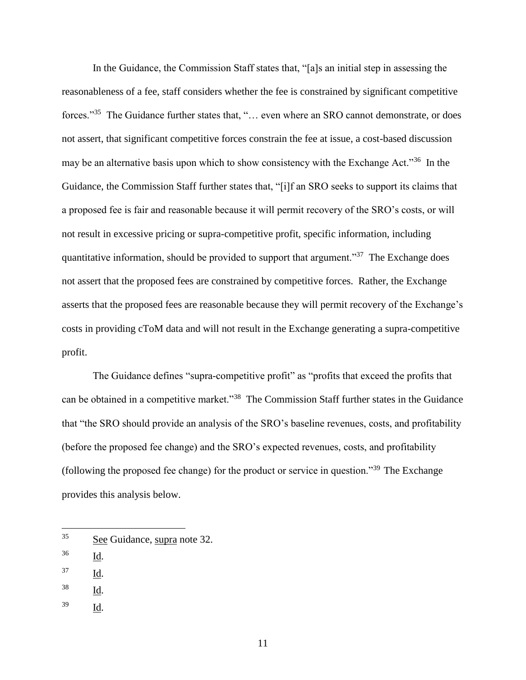In the Guidance, the Commission Staff states that, "[a]s an initial step in assessing the reasonableness of a fee, staff considers whether the fee is constrained by significant competitive forces."<sup>35</sup> The Guidance further states that, "... even where an SRO cannot demonstrate, or does not assert, that significant competitive forces constrain the fee at issue, a cost-based discussion may be an alternative basis upon which to show consistency with the Exchange Act."<sup>36</sup> In the Guidance, the Commission Staff further states that, "[i]f an SRO seeks to support its claims that a proposed fee is fair and reasonable because it will permit recovery of the SRO's costs, or will not result in excessive pricing or supra-competitive profit, specific information, including quantitative information, should be provided to support that argument."<sup>37</sup> The Exchange does not assert that the proposed fees are constrained by competitive forces. Rather, the Exchange asserts that the proposed fees are reasonable because they will permit recovery of the Exchange's costs in providing cToM data and will not result in the Exchange generating a supra-competitive profit.

The Guidance defines "supra-competitive profit" as "profits that exceed the profits that can be obtained in a competitive market."<sup>38</sup> The Commission Staff further states in the Guidance that "the SRO should provide an analysis of the SRO's baseline revenues, costs, and profitability (before the proposed fee change) and the SRO's expected revenues, costs, and profitability (following the proposed fee change) for the product or service in question.<sup>39</sup> The Exchange provides this analysis below.

- <sup>35</sup> See Guidance, supra note 32.
- <sup>36</sup> Id.

- <sup>37</sup> Id.
- $\frac{38}{\underline{Id}}$ .
- <sup>39</sup> Id.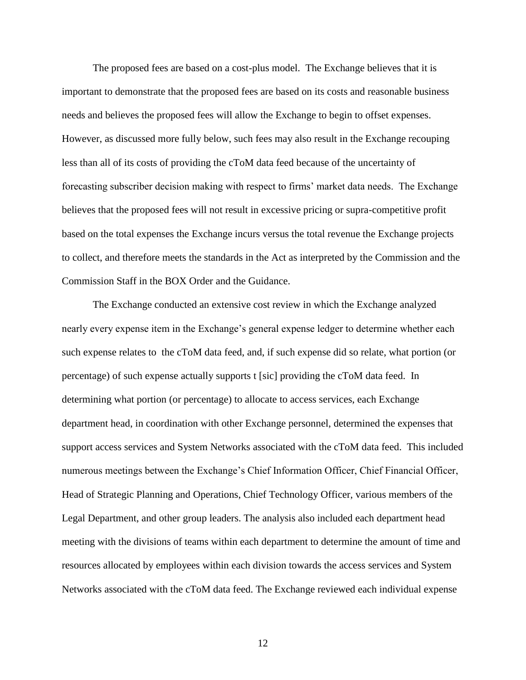The proposed fees are based on a cost-plus model. The Exchange believes that it is important to demonstrate that the proposed fees are based on its costs and reasonable business needs and believes the proposed fees will allow the Exchange to begin to offset expenses. However, as discussed more fully below, such fees may also result in the Exchange recouping less than all of its costs of providing the cToM data feed because of the uncertainty of forecasting subscriber decision making with respect to firms' market data needs. The Exchange believes that the proposed fees will not result in excessive pricing or supra-competitive profit based on the total expenses the Exchange incurs versus the total revenue the Exchange projects to collect, and therefore meets the standards in the Act as interpreted by the Commission and the Commission Staff in the BOX Order and the Guidance.

The Exchange conducted an extensive cost review in which the Exchange analyzed nearly every expense item in the Exchange's general expense ledger to determine whether each such expense relates to the cToM data feed, and, if such expense did so relate, what portion (or percentage) of such expense actually supports t [sic] providing the cToM data feed. In determining what portion (or percentage) to allocate to access services, each Exchange department head, in coordination with other Exchange personnel, determined the expenses that support access services and System Networks associated with the cToM data feed. This included numerous meetings between the Exchange's Chief Information Officer, Chief Financial Officer, Head of Strategic Planning and Operations, Chief Technology Officer, various members of the Legal Department, and other group leaders. The analysis also included each department head meeting with the divisions of teams within each department to determine the amount of time and resources allocated by employees within each division towards the access services and System Networks associated with the cToM data feed. The Exchange reviewed each individual expense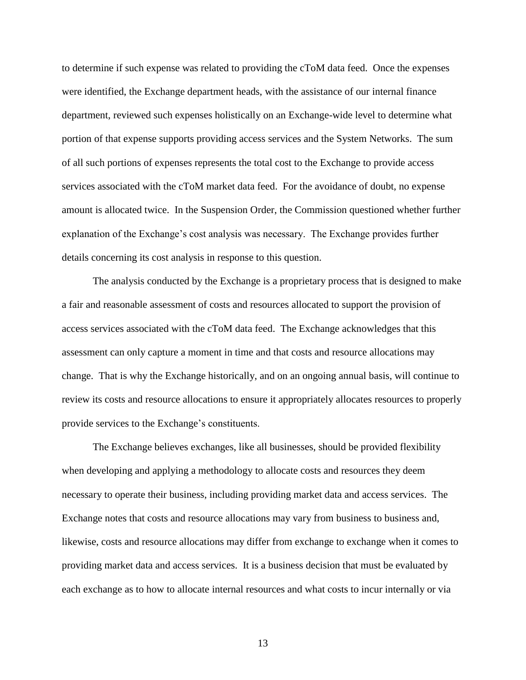to determine if such expense was related to providing the cToM data feed. Once the expenses were identified, the Exchange department heads, with the assistance of our internal finance department, reviewed such expenses holistically on an Exchange-wide level to determine what portion of that expense supports providing access services and the System Networks. The sum of all such portions of expenses represents the total cost to the Exchange to provide access services associated with the cToM market data feed. For the avoidance of doubt, no expense amount is allocated twice. In the Suspension Order, the Commission questioned whether further explanation of the Exchange's cost analysis was necessary. The Exchange provides further details concerning its cost analysis in response to this question.

The analysis conducted by the Exchange is a proprietary process that is designed to make a fair and reasonable assessment of costs and resources allocated to support the provision of access services associated with the cToM data feed. The Exchange acknowledges that this assessment can only capture a moment in time and that costs and resource allocations may change. That is why the Exchange historically, and on an ongoing annual basis, will continue to review its costs and resource allocations to ensure it appropriately allocates resources to properly provide services to the Exchange's constituents.

The Exchange believes exchanges, like all businesses, should be provided flexibility when developing and applying a methodology to allocate costs and resources they deem necessary to operate their business, including providing market data and access services. The Exchange notes that costs and resource allocations may vary from business to business and, likewise, costs and resource allocations may differ from exchange to exchange when it comes to providing market data and access services. It is a business decision that must be evaluated by each exchange as to how to allocate internal resources and what costs to incur internally or via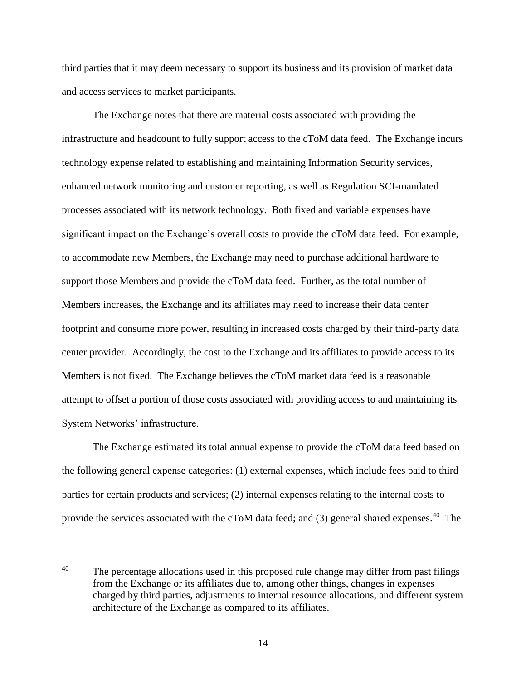third parties that it may deem necessary to support its business and its provision of market data and access services to market participants.

The Exchange notes that there are material costs associated with providing the infrastructure and headcount to fully support access to the cToM data feed. The Exchange incurs technology expense related to establishing and maintaining Information Security services, enhanced network monitoring and customer reporting, as well as Regulation SCI-mandated processes associated with its network technology. Both fixed and variable expenses have significant impact on the Exchange's overall costs to provide the cToM data feed. For example, to accommodate new Members, the Exchange may need to purchase additional hardware to support those Members and provide the cToM data feed. Further, as the total number of Members increases, the Exchange and its affiliates may need to increase their data center footprint and consume more power, resulting in increased costs charged by their third-party data center provider. Accordingly, the cost to the Exchange and its affiliates to provide access to its Members is not fixed. The Exchange believes the cToM market data feed is a reasonable attempt to offset a portion of those costs associated with providing access to and maintaining its System Networks' infrastructure.

The Exchange estimated its total annual expense to provide the cToM data feed based on the following general expense categories: (1) external expenses, which include fees paid to third parties for certain products and services; (2) internal expenses relating to the internal costs to provide the services associated with the cToM data feed; and (3) general shared expenses.<sup>40</sup> The

 $^{40}$  The percentage allocations used in this proposed rule change may differ from past filings from the Exchange or its affiliates due to, among other things, changes in expenses charged by third parties, adjustments to internal resource allocations, and different system architecture of the Exchange as compared to its affiliates.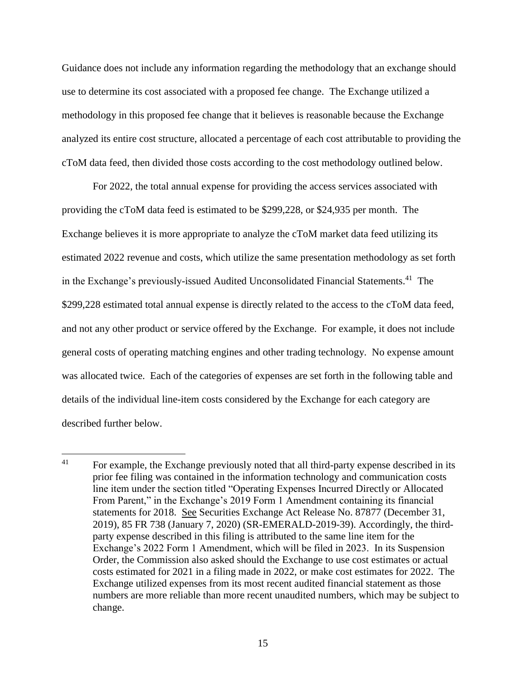Guidance does not include any information regarding the methodology that an exchange should use to determine its cost associated with a proposed fee change. The Exchange utilized a methodology in this proposed fee change that it believes is reasonable because the Exchange analyzed its entire cost structure, allocated a percentage of each cost attributable to providing the cToM data feed, then divided those costs according to the cost methodology outlined below.

For 2022, the total annual expense for providing the access services associated with providing the cToM data feed is estimated to be \$299,228, or \$24,935 per month. The Exchange believes it is more appropriate to analyze the cToM market data feed utilizing its estimated 2022 revenue and costs, which utilize the same presentation methodology as set forth in the Exchange's previously-issued Audited Unconsolidated Financial Statements.<sup>41</sup> The \$299,228 estimated total annual expense is directly related to the access to the cToM data feed, and not any other product or service offered by the Exchange. For example, it does not include general costs of operating matching engines and other trading technology. No expense amount was allocated twice. Each of the categories of expenses are set forth in the following table and details of the individual line-item costs considered by the Exchange for each category are described further below.

 $41$ For example, the Exchange previously noted that all third-party expense described in its prior fee filing was contained in the information technology and communication costs line item under the section titled "Operating Expenses Incurred Directly or Allocated From Parent," in the Exchange's 2019 Form 1 Amendment containing its financial statements for 2018. See Securities Exchange Act Release No. 87877 (December 31, 2019), 85 FR 738 (January 7, 2020) (SR-EMERALD-2019-39). Accordingly, the thirdparty expense described in this filing is attributed to the same line item for the Exchange's 2022 Form 1 Amendment, which will be filed in 2023. In its Suspension Order, the Commission also asked should the Exchange to use cost estimates or actual costs estimated for 2021 in a filing made in 2022, or make cost estimates for 2022. The Exchange utilized expenses from its most recent audited financial statement as those numbers are more reliable than more recent unaudited numbers, which may be subject to change.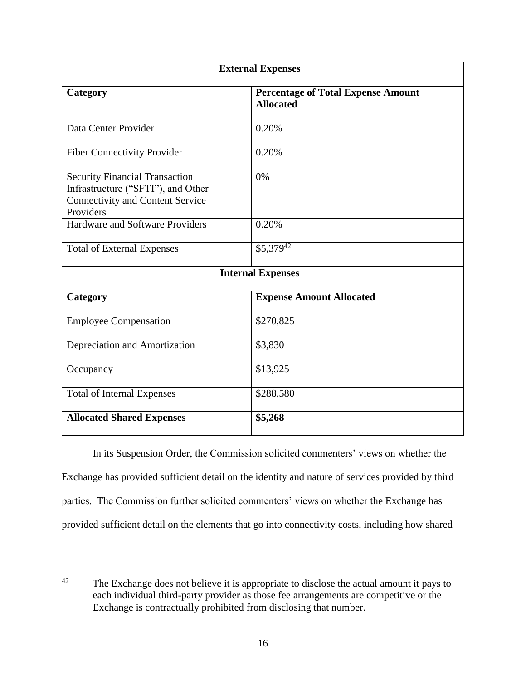| <b>External Expenses</b>                                                                                                            |                                                               |  |
|-------------------------------------------------------------------------------------------------------------------------------------|---------------------------------------------------------------|--|
| Category                                                                                                                            | <b>Percentage of Total Expense Amount</b><br><b>Allocated</b> |  |
| Data Center Provider                                                                                                                | 0.20%                                                         |  |
| <b>Fiber Connectivity Provider</b>                                                                                                  | 0.20%                                                         |  |
| <b>Security Financial Transaction</b><br>Infrastructure ("SFTI"), and Other<br><b>Connectivity and Content Service</b><br>Providers | 0%                                                            |  |
| Hardware and Software Providers                                                                                                     | 0.20%                                                         |  |
| <b>Total of External Expenses</b>                                                                                                   | $$5,379^{42}$                                                 |  |
| <b>Internal Expenses</b>                                                                                                            |                                                               |  |
| Category                                                                                                                            | <b>Expense Amount Allocated</b>                               |  |
| <b>Employee Compensation</b>                                                                                                        | \$270,825                                                     |  |
| Depreciation and Amortization                                                                                                       | \$3,830                                                       |  |
| Occupancy                                                                                                                           | \$13,925                                                      |  |
| <b>Total of Internal Expenses</b>                                                                                                   | \$288,580                                                     |  |
| <b>Allocated Shared Expenses</b>                                                                                                    | \$5,268                                                       |  |

In its Suspension Order, the Commission solicited commenters' views on whether the Exchange has provided sufficient detail on the identity and nature of services provided by third parties. The Commission further solicited commenters' views on whether the Exchange has provided sufficient detail on the elements that go into connectivity costs, including how shared

 $42$ The Exchange does not believe it is appropriate to disclose the actual amount it pays to each individual third-party provider as those fee arrangements are competitive or the Exchange is contractually prohibited from disclosing that number.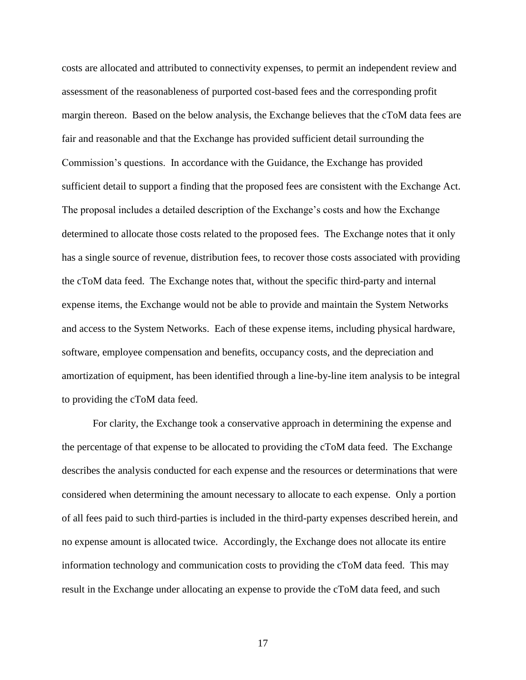costs are allocated and attributed to connectivity expenses, to permit an independent review and assessment of the reasonableness of purported cost-based fees and the corresponding profit margin thereon. Based on the below analysis, the Exchange believes that the cToM data fees are fair and reasonable and that the Exchange has provided sufficient detail surrounding the Commission's questions. In accordance with the Guidance, the Exchange has provided sufficient detail to support a finding that the proposed fees are consistent with the Exchange Act. The proposal includes a detailed description of the Exchange's costs and how the Exchange determined to allocate those costs related to the proposed fees. The Exchange notes that it only has a single source of revenue, distribution fees, to recover those costs associated with providing the cToM data feed. The Exchange notes that, without the specific third-party and internal expense items, the Exchange would not be able to provide and maintain the System Networks and access to the System Networks. Each of these expense items, including physical hardware, software, employee compensation and benefits, occupancy costs, and the depreciation and amortization of equipment, has been identified through a line-by-line item analysis to be integral to providing the cToM data feed.

For clarity, the Exchange took a conservative approach in determining the expense and the percentage of that expense to be allocated to providing the cToM data feed. The Exchange describes the analysis conducted for each expense and the resources or determinations that were considered when determining the amount necessary to allocate to each expense. Only a portion of all fees paid to such third-parties is included in the third-party expenses described herein, and no expense amount is allocated twice. Accordingly, the Exchange does not allocate its entire information technology and communication costs to providing the cToM data feed. This may result in the Exchange under allocating an expense to provide the cToM data feed, and such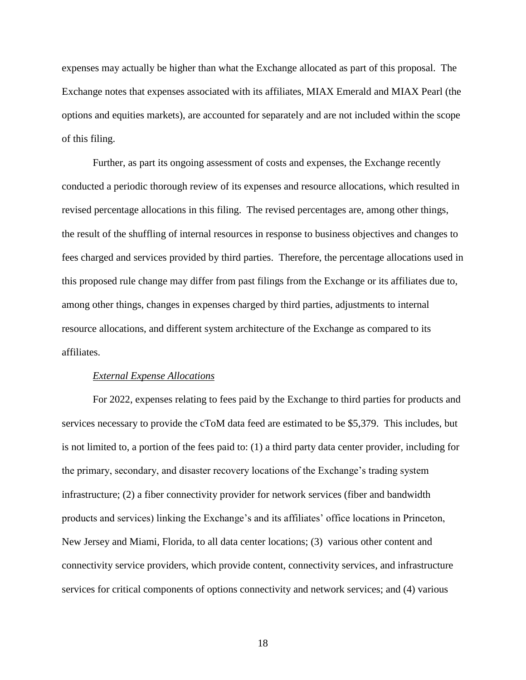expenses may actually be higher than what the Exchange allocated as part of this proposal. The Exchange notes that expenses associated with its affiliates, MIAX Emerald and MIAX Pearl (the options and equities markets), are accounted for separately and are not included within the scope of this filing.

Further, as part its ongoing assessment of costs and expenses, the Exchange recently conducted a periodic thorough review of its expenses and resource allocations, which resulted in revised percentage allocations in this filing. The revised percentages are, among other things, the result of the shuffling of internal resources in response to business objectives and changes to fees charged and services provided by third parties. Therefore, the percentage allocations used in this proposed rule change may differ from past filings from the Exchange or its affiliates due to, among other things, changes in expenses charged by third parties, adjustments to internal resource allocations, and different system architecture of the Exchange as compared to its affiliates.

#### *External Expense Allocations*

For 2022, expenses relating to fees paid by the Exchange to third parties for products and services necessary to provide the cToM data feed are estimated to be \$5,379. This includes, but is not limited to, a portion of the fees paid to: (1) a third party data center provider, including for the primary, secondary, and disaster recovery locations of the Exchange's trading system infrastructure; (2) a fiber connectivity provider for network services (fiber and bandwidth products and services) linking the Exchange's and its affiliates' office locations in Princeton, New Jersey and Miami, Florida, to all data center locations; (3) various other content and connectivity service providers, which provide content, connectivity services, and infrastructure services for critical components of options connectivity and network services; and (4) various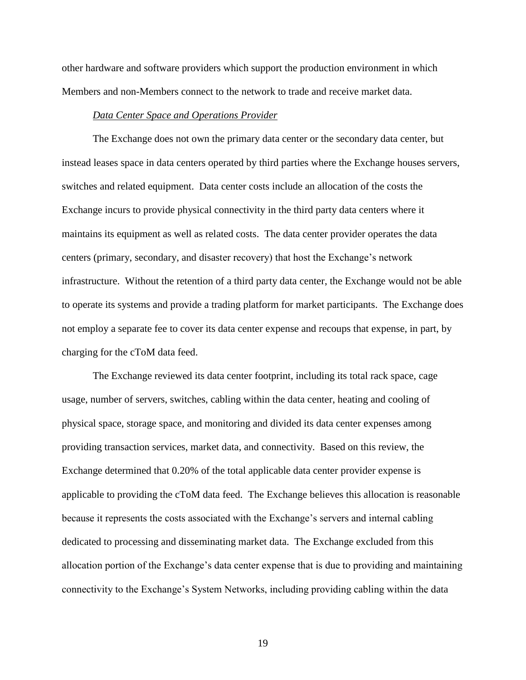other hardware and software providers which support the production environment in which Members and non-Members connect to the network to trade and receive market data.

### *Data Center Space and Operations Provider*

The Exchange does not own the primary data center or the secondary data center, but instead leases space in data centers operated by third parties where the Exchange houses servers, switches and related equipment. Data center costs include an allocation of the costs the Exchange incurs to provide physical connectivity in the third party data centers where it maintains its equipment as well as related costs. The data center provider operates the data centers (primary, secondary, and disaster recovery) that host the Exchange's network infrastructure. Without the retention of a third party data center, the Exchange would not be able to operate its systems and provide a trading platform for market participants. The Exchange does not employ a separate fee to cover its data center expense and recoups that expense, in part, by charging for the cToM data feed.

The Exchange reviewed its data center footprint, including its total rack space, cage usage, number of servers, switches, cabling within the data center, heating and cooling of physical space, storage space, and monitoring and divided its data center expenses among providing transaction services, market data, and connectivity. Based on this review, the Exchange determined that 0.20% of the total applicable data center provider expense is applicable to providing the cToM data feed. The Exchange believes this allocation is reasonable because it represents the costs associated with the Exchange's servers and internal cabling dedicated to processing and disseminating market data. The Exchange excluded from this allocation portion of the Exchange's data center expense that is due to providing and maintaining connectivity to the Exchange's System Networks, including providing cabling within the data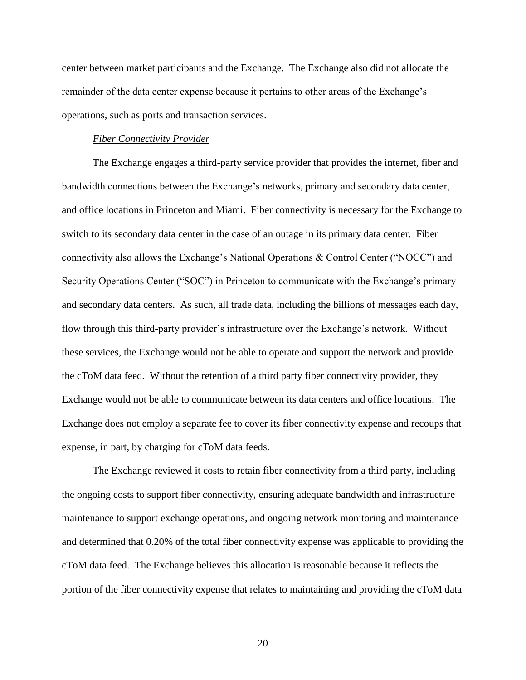center between market participants and the Exchange. The Exchange also did not allocate the remainder of the data center expense because it pertains to other areas of the Exchange's operations, such as ports and transaction services.

### *Fiber Connectivity Provider*

The Exchange engages a third-party service provider that provides the internet, fiber and bandwidth connections between the Exchange's networks, primary and secondary data center, and office locations in Princeton and Miami. Fiber connectivity is necessary for the Exchange to switch to its secondary data center in the case of an outage in its primary data center. Fiber connectivity also allows the Exchange's National Operations & Control Center ("NOCC") and Security Operations Center ("SOC") in Princeton to communicate with the Exchange's primary and secondary data centers. As such, all trade data, including the billions of messages each day, flow through this third-party provider's infrastructure over the Exchange's network. Without these services, the Exchange would not be able to operate and support the network and provide the cToM data feed. Without the retention of a third party fiber connectivity provider, they Exchange would not be able to communicate between its data centers and office locations. The Exchange does not employ a separate fee to cover its fiber connectivity expense and recoups that expense, in part, by charging for cToM data feeds.

The Exchange reviewed it costs to retain fiber connectivity from a third party, including the ongoing costs to support fiber connectivity, ensuring adequate bandwidth and infrastructure maintenance to support exchange operations, and ongoing network monitoring and maintenance and determined that 0.20% of the total fiber connectivity expense was applicable to providing the cToM data feed. The Exchange believes this allocation is reasonable because it reflects the portion of the fiber connectivity expense that relates to maintaining and providing the cToM data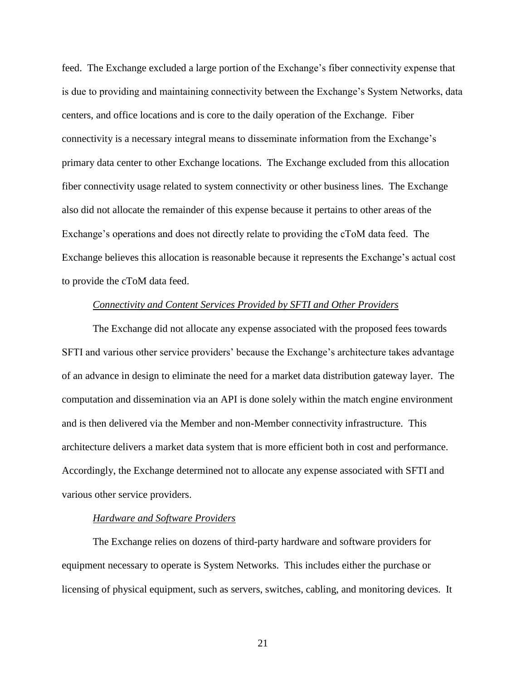feed. The Exchange excluded a large portion of the Exchange's fiber connectivity expense that is due to providing and maintaining connectivity between the Exchange's System Networks, data centers, and office locations and is core to the daily operation of the Exchange. Fiber connectivity is a necessary integral means to disseminate information from the Exchange's primary data center to other Exchange locations. The Exchange excluded from this allocation fiber connectivity usage related to system connectivity or other business lines. The Exchange also did not allocate the remainder of this expense because it pertains to other areas of the Exchange's operations and does not directly relate to providing the cToM data feed. The Exchange believes this allocation is reasonable because it represents the Exchange's actual cost to provide the cToM data feed.

### *Connectivity and Content Services Provided by SFTI and Other Providers*

The Exchange did not allocate any expense associated with the proposed fees towards SFTI and various other service providers' because the Exchange's architecture takes advantage of an advance in design to eliminate the need for a market data distribution gateway layer. The computation and dissemination via an API is done solely within the match engine environment and is then delivered via the Member and non-Member connectivity infrastructure. This architecture delivers a market data system that is more efficient both in cost and performance. Accordingly, the Exchange determined not to allocate any expense associated with SFTI and various other service providers.

#### *Hardware and Software Providers*

The Exchange relies on dozens of third-party hardware and software providers for equipment necessary to operate is System Networks. This includes either the purchase or licensing of physical equipment, such as servers, switches, cabling, and monitoring devices. It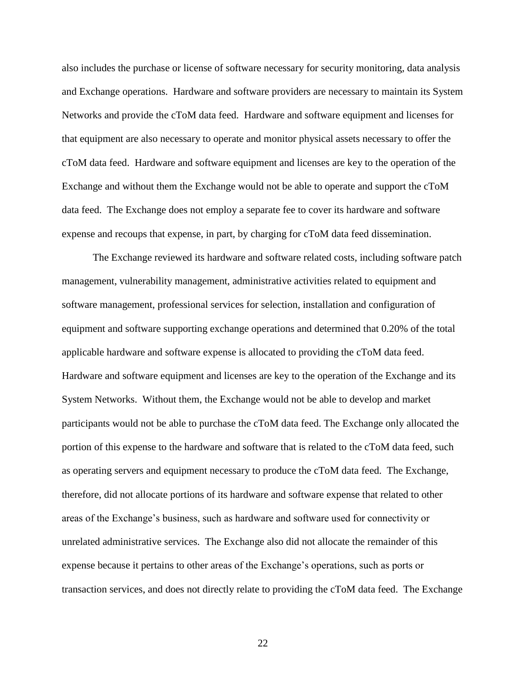also includes the purchase or license of software necessary for security monitoring, data analysis and Exchange operations. Hardware and software providers are necessary to maintain its System Networks and provide the cToM data feed. Hardware and software equipment and licenses for that equipment are also necessary to operate and monitor physical assets necessary to offer the cToM data feed. Hardware and software equipment and licenses are key to the operation of the Exchange and without them the Exchange would not be able to operate and support the cToM data feed. The Exchange does not employ a separate fee to cover its hardware and software expense and recoups that expense, in part, by charging for cToM data feed dissemination.

The Exchange reviewed its hardware and software related costs, including software patch management, vulnerability management, administrative activities related to equipment and software management, professional services for selection, installation and configuration of equipment and software supporting exchange operations and determined that 0.20% of the total applicable hardware and software expense is allocated to providing the cToM data feed. Hardware and software equipment and licenses are key to the operation of the Exchange and its System Networks. Without them, the Exchange would not be able to develop and market participants would not be able to purchase the cToM data feed. The Exchange only allocated the portion of this expense to the hardware and software that is related to the cToM data feed, such as operating servers and equipment necessary to produce the cToM data feed. The Exchange, therefore, did not allocate portions of its hardware and software expense that related to other areas of the Exchange's business, such as hardware and software used for connectivity or unrelated administrative services. The Exchange also did not allocate the remainder of this expense because it pertains to other areas of the Exchange's operations, such as ports or transaction services, and does not directly relate to providing the cToM data feed. The Exchange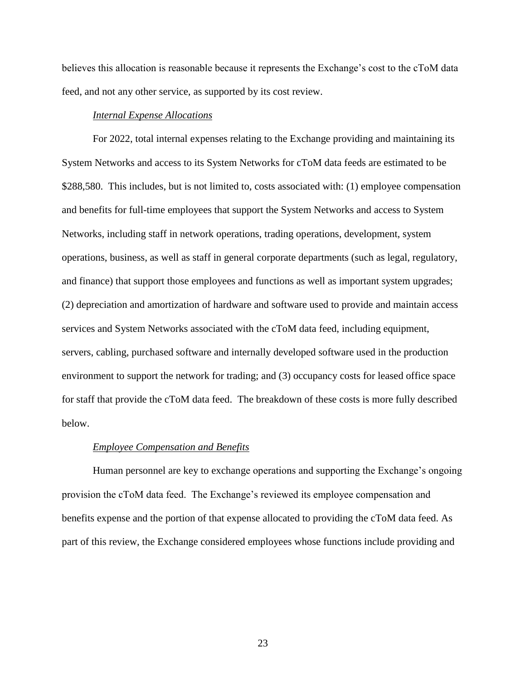believes this allocation is reasonable because it represents the Exchange's cost to the cToM data feed, and not any other service, as supported by its cost review.

## *Internal Expense Allocations*

For 2022, total internal expenses relating to the Exchange providing and maintaining its System Networks and access to its System Networks for cToM data feeds are estimated to be \$288,580. This includes, but is not limited to, costs associated with: (1) employee compensation and benefits for full-time employees that support the System Networks and access to System Networks, including staff in network operations, trading operations, development, system operations, business, as well as staff in general corporate departments (such as legal, regulatory, and finance) that support those employees and functions as well as important system upgrades; (2) depreciation and amortization of hardware and software used to provide and maintain access services and System Networks associated with the cToM data feed, including equipment, servers, cabling, purchased software and internally developed software used in the production environment to support the network for trading; and (3) occupancy costs for leased office space for staff that provide the cToM data feed. The breakdown of these costs is more fully described below.

### *Employee Compensation and Benefits*

Human personnel are key to exchange operations and supporting the Exchange's ongoing provision the cToM data feed. The Exchange's reviewed its employee compensation and benefits expense and the portion of that expense allocated to providing the cToM data feed. As part of this review, the Exchange considered employees whose functions include providing and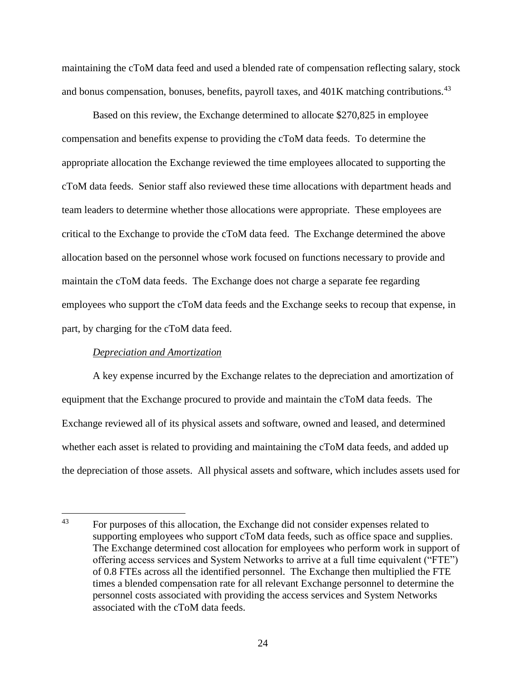maintaining the cToM data feed and used a blended rate of compensation reflecting salary, stock and bonus compensation, bonuses, benefits, payroll taxes, and 401K matching contributions.<sup>43</sup>

Based on this review, the Exchange determined to allocate \$270,825 in employee compensation and benefits expense to providing the cToM data feeds. To determine the appropriate allocation the Exchange reviewed the time employees allocated to supporting the cToM data feeds. Senior staff also reviewed these time allocations with department heads and team leaders to determine whether those allocations were appropriate. These employees are critical to the Exchange to provide the cToM data feed. The Exchange determined the above allocation based on the personnel whose work focused on functions necessary to provide and maintain the cToM data feeds. The Exchange does not charge a separate fee regarding employees who support the cToM data feeds and the Exchange seeks to recoup that expense, in part, by charging for the cToM data feed.

## *Depreciation and Amortization*

 $\overline{a}$ 

A key expense incurred by the Exchange relates to the depreciation and amortization of equipment that the Exchange procured to provide and maintain the cToM data feeds. The Exchange reviewed all of its physical assets and software, owned and leased, and determined whether each asset is related to providing and maintaining the cToM data feeds, and added up the depreciation of those assets. All physical assets and software, which includes assets used for

<sup>43</sup> For purposes of this allocation, the Exchange did not consider expenses related to supporting employees who support cToM data feeds, such as office space and supplies. The Exchange determined cost allocation for employees who perform work in support of offering access services and System Networks to arrive at a full time equivalent ("FTE") of 0.8 FTEs across all the identified personnel. The Exchange then multiplied the FTE times a blended compensation rate for all relevant Exchange personnel to determine the personnel costs associated with providing the access services and System Networks associated with the cToM data feeds.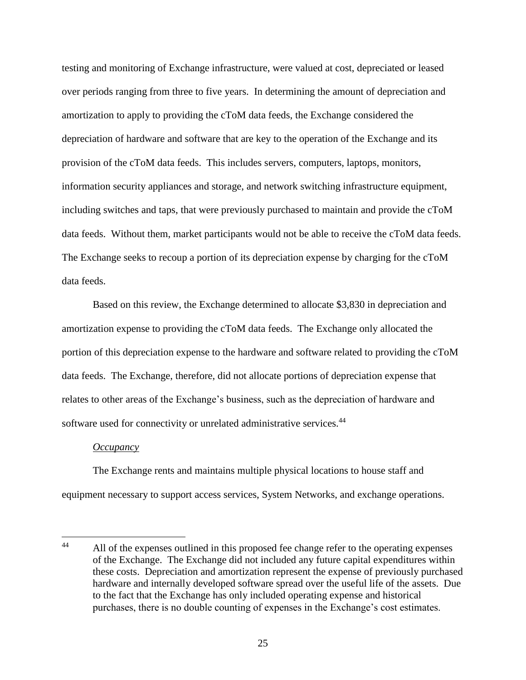testing and monitoring of Exchange infrastructure, were valued at cost, depreciated or leased over periods ranging from three to five years. In determining the amount of depreciation and amortization to apply to providing the cToM data feeds, the Exchange considered the depreciation of hardware and software that are key to the operation of the Exchange and its provision of the cToM data feeds. This includes servers, computers, laptops, monitors, information security appliances and storage, and network switching infrastructure equipment, including switches and taps, that were previously purchased to maintain and provide the cToM data feeds. Without them, market participants would not be able to receive the cToM data feeds. The Exchange seeks to recoup a portion of its depreciation expense by charging for the cToM data feeds.

Based on this review, the Exchange determined to allocate \$3,830 in depreciation and amortization expense to providing the cToM data feeds. The Exchange only allocated the portion of this depreciation expense to the hardware and software related to providing the cToM data feeds. The Exchange, therefore, did not allocate portions of depreciation expense that relates to other areas of the Exchange's business, such as the depreciation of hardware and software used for connectivity or unrelated administrative services.<sup>44</sup>

#### *Occupancy*

 $\overline{a}$ 

The Exchange rents and maintains multiple physical locations to house staff and equipment necessary to support access services, System Networks, and exchange operations.

<sup>&</sup>lt;sup>44</sup> All of the expenses outlined in this proposed fee change refer to the operating expenses of the Exchange. The Exchange did not included any future capital expenditures within these costs. Depreciation and amortization represent the expense of previously purchased hardware and internally developed software spread over the useful life of the assets. Due to the fact that the Exchange has only included operating expense and historical purchases, there is no double counting of expenses in the Exchange's cost estimates.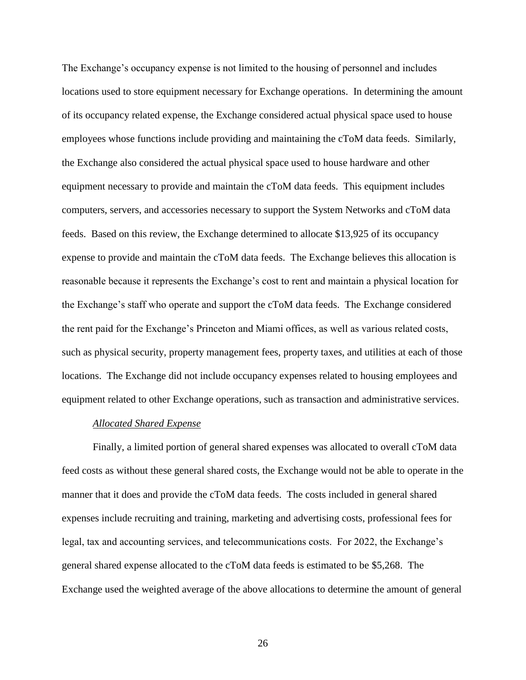The Exchange's occupancy expense is not limited to the housing of personnel and includes locations used to store equipment necessary for Exchange operations. In determining the amount of its occupancy related expense, the Exchange considered actual physical space used to house employees whose functions include providing and maintaining the cToM data feeds. Similarly, the Exchange also considered the actual physical space used to house hardware and other equipment necessary to provide and maintain the cToM data feeds. This equipment includes computers, servers, and accessories necessary to support the System Networks and cToM data feeds. Based on this review, the Exchange determined to allocate \$13,925 of its occupancy expense to provide and maintain the cToM data feeds. The Exchange believes this allocation is reasonable because it represents the Exchange's cost to rent and maintain a physical location for the Exchange's staff who operate and support the cToM data feeds. The Exchange considered the rent paid for the Exchange's Princeton and Miami offices, as well as various related costs, such as physical security, property management fees, property taxes, and utilities at each of those locations. The Exchange did not include occupancy expenses related to housing employees and equipment related to other Exchange operations, such as transaction and administrative services.

## *Allocated Shared Expense*

Finally, a limited portion of general shared expenses was allocated to overall cToM data feed costs as without these general shared costs, the Exchange would not be able to operate in the manner that it does and provide the cToM data feeds. The costs included in general shared expenses include recruiting and training, marketing and advertising costs, professional fees for legal, tax and accounting services, and telecommunications costs. For 2022, the Exchange's general shared expense allocated to the cToM data feeds is estimated to be \$5,268. The Exchange used the weighted average of the above allocations to determine the amount of general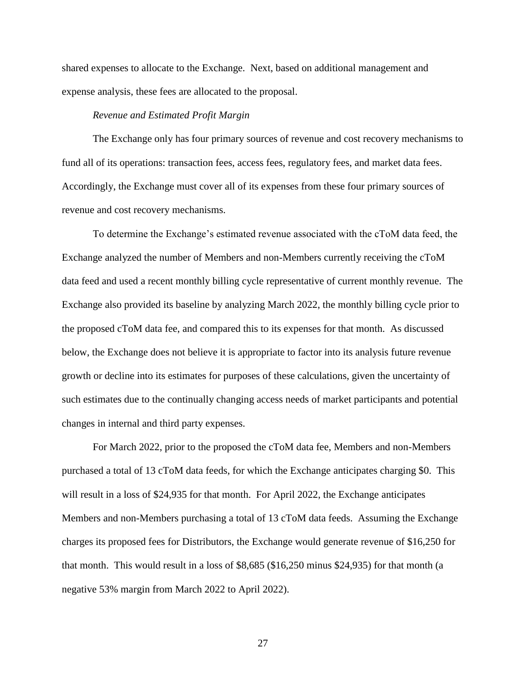shared expenses to allocate to the Exchange. Next, based on additional management and expense analysis, these fees are allocated to the proposal.

## *Revenue and Estimated Profit Margin*

The Exchange only has four primary sources of revenue and cost recovery mechanisms to fund all of its operations: transaction fees, access fees, regulatory fees, and market data fees. Accordingly, the Exchange must cover all of its expenses from these four primary sources of revenue and cost recovery mechanisms.

To determine the Exchange's estimated revenue associated with the cToM data feed, the Exchange analyzed the number of Members and non-Members currently receiving the cToM data feed and used a recent monthly billing cycle representative of current monthly revenue. The Exchange also provided its baseline by analyzing March 2022, the monthly billing cycle prior to the proposed cToM data fee, and compared this to its expenses for that month. As discussed below, the Exchange does not believe it is appropriate to factor into its analysis future revenue growth or decline into its estimates for purposes of these calculations, given the uncertainty of such estimates due to the continually changing access needs of market participants and potential changes in internal and third party expenses.

For March 2022, prior to the proposed the cToM data fee, Members and non-Members purchased a total of 13 cToM data feeds, for which the Exchange anticipates charging \$0. This will result in a loss of \$24,935 for that month. For April 2022, the Exchange anticipates Members and non-Members purchasing a total of 13 cToM data feeds. Assuming the Exchange charges its proposed fees for Distributors, the Exchange would generate revenue of \$16,250 for that month. This would result in a loss of \$8,685 (\$16,250 minus \$24,935) for that month (a negative 53% margin from March 2022 to April 2022).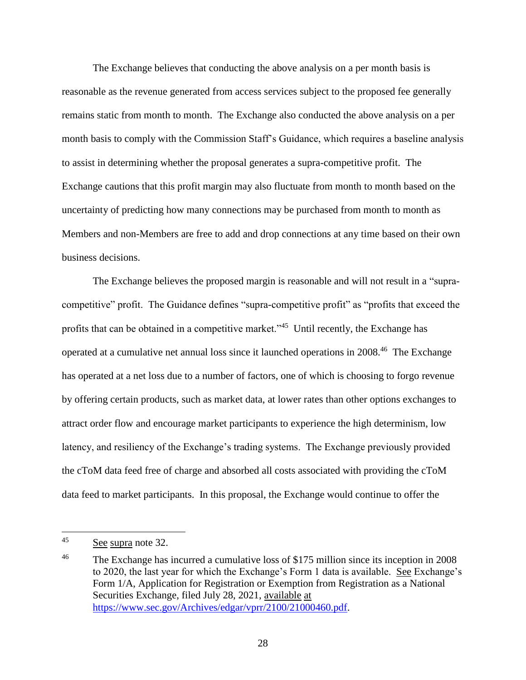The Exchange believes that conducting the above analysis on a per month basis is reasonable as the revenue generated from access services subject to the proposed fee generally remains static from month to month. The Exchange also conducted the above analysis on a per month basis to comply with the Commission Staff's Guidance, which requires a baseline analysis to assist in determining whether the proposal generates a supra-competitive profit. The Exchange cautions that this profit margin may also fluctuate from month to month based on the uncertainty of predicting how many connections may be purchased from month to month as Members and non-Members are free to add and drop connections at any time based on their own business decisions.

The Exchange believes the proposed margin is reasonable and will not result in a "supracompetitive" profit. The Guidance defines "supra-competitive profit" as "profits that exceed the profits that can be obtained in a competitive market."<sup>45</sup> Until recently, the Exchange has operated at a cumulative net annual loss since it launched operations in 2008.<sup>46</sup> The Exchange has operated at a net loss due to a number of factors, one of which is choosing to forgo revenue by offering certain products, such as market data, at lower rates than other options exchanges to attract order flow and encourage market participants to experience the high determinism, low latency, and resiliency of the Exchange's trading systems. The Exchange previously provided the cToM data feed free of charge and absorbed all costs associated with providing the cToM data feed to market participants. In this proposal, the Exchange would continue to offer the

<sup>45</sup> See supra note 32.

<sup>&</sup>lt;sup>46</sup> The Exchange has incurred a cumulative loss of \$175 million since its inception in 2008 to 2020, the last year for which the Exchange's Form 1 data is available. See Exchange's Form 1/A, Application for Registration or Exemption from Registration as a National Securities Exchange, filed July 28, 2021, available at [https://www.sec.gov/Archives/edgar/vprr/2100/21000460.pdf.](https://www.sec.gov/Archives/edgar/vprr/2100/21000460.pdf)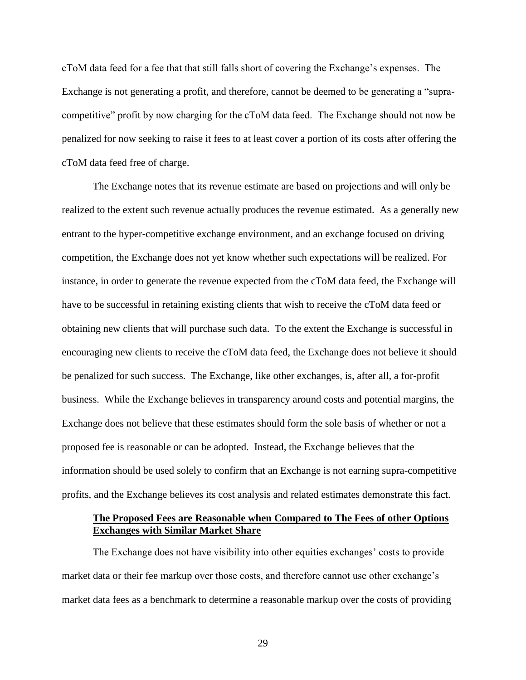cToM data feed for a fee that that still falls short of covering the Exchange's expenses. The Exchange is not generating a profit, and therefore, cannot be deemed to be generating a "supracompetitive" profit by now charging for the cToM data feed. The Exchange should not now be penalized for now seeking to raise it fees to at least cover a portion of its costs after offering the cToM data feed free of charge.

The Exchange notes that its revenue estimate are based on projections and will only be realized to the extent such revenue actually produces the revenue estimated. As a generally new entrant to the hyper-competitive exchange environment, and an exchange focused on driving competition, the Exchange does not yet know whether such expectations will be realized. For instance, in order to generate the revenue expected from the cToM data feed, the Exchange will have to be successful in retaining existing clients that wish to receive the cToM data feed or obtaining new clients that will purchase such data. To the extent the Exchange is successful in encouraging new clients to receive the cToM data feed, the Exchange does not believe it should be penalized for such success. The Exchange, like other exchanges, is, after all, a for-profit business. While the Exchange believes in transparency around costs and potential margins, the Exchange does not believe that these estimates should form the sole basis of whether or not a proposed fee is reasonable or can be adopted. Instead, the Exchange believes that the information should be used solely to confirm that an Exchange is not earning supra-competitive profits, and the Exchange believes its cost analysis and related estimates demonstrate this fact.

## **The Proposed Fees are Reasonable when Compared to The Fees of other Options Exchanges with Similar Market Share**

The Exchange does not have visibility into other equities exchanges' costs to provide market data or their fee markup over those costs, and therefore cannot use other exchange's market data fees as a benchmark to determine a reasonable markup over the costs of providing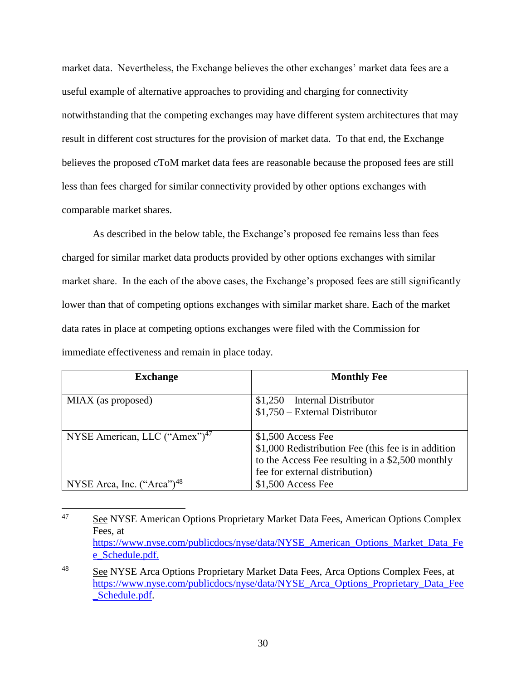market data. Nevertheless, the Exchange believes the other exchanges' market data fees are a useful example of alternative approaches to providing and charging for connectivity notwithstanding that the competing exchanges may have different system architectures that may result in different cost structures for the provision of market data. To that end, the Exchange believes the proposed cToM market data fees are reasonable because the proposed fees are still less than fees charged for similar connectivity provided by other options exchanges with comparable market shares.

As described in the below table, the Exchange's proposed fee remains less than fees charged for similar market data products provided by other options exchanges with similar market share. In the each of the above cases, the Exchange's proposed fees are still significantly lower than that of competing options exchanges with similar market share. Each of the market data rates in place at competing options exchanges were filed with the Commission for immediate effectiveness and remain in place today.

| <b>Exchange</b>                           | <b>Monthly Fee</b>                                  |
|-------------------------------------------|-----------------------------------------------------|
| MIAX (as proposed)                        | $$1,250$ – Internal Distributor                     |
|                                           | $$1,750$ – External Distributor                     |
| NYSE American, LLC ("Amex") <sup>47</sup> | $$1,500$ Access Fee                                 |
|                                           | \$1,000 Redistribution Fee (this fee is in addition |
|                                           | to the Access Fee resulting in a \$2,500 monthly    |
|                                           | fee for external distribution)                      |
| NYSE Arca, Inc. $("Area")^{48}$           | $$1,500$ Access Fee                                 |

<sup>47</sup> See NYSE American Options Proprietary Market Data Fees, American Options Complex Fees, at [https://www.nyse.com/publicdocs/nyse/data/NYSE\\_American\\_Options\\_Market\\_Data\\_Fe](https://www.nyse.com/publicdocs/nyse/data/NYSE_American_Options_Market_Data_Fee_Schedule.pdf) [e\\_Schedule.pdf.](https://www.nyse.com/publicdocs/nyse/data/NYSE_American_Options_Market_Data_Fee_Schedule.pdf)

<sup>&</sup>lt;sup>48</sup> See NYSE Arca Options Proprietary Market Data Fees, Arca Options Complex Fees, at [https://www.nyse.com/publicdocs/nyse/data/NYSE\\_Arca\\_Options\\_Proprietary\\_Data\\_Fee](https://www.nyse.com/publicdocs/nyse/data/NYSE_Arca_Options_Proprietary_Data_Fee_Schedule.pdf) Schedule.pdf.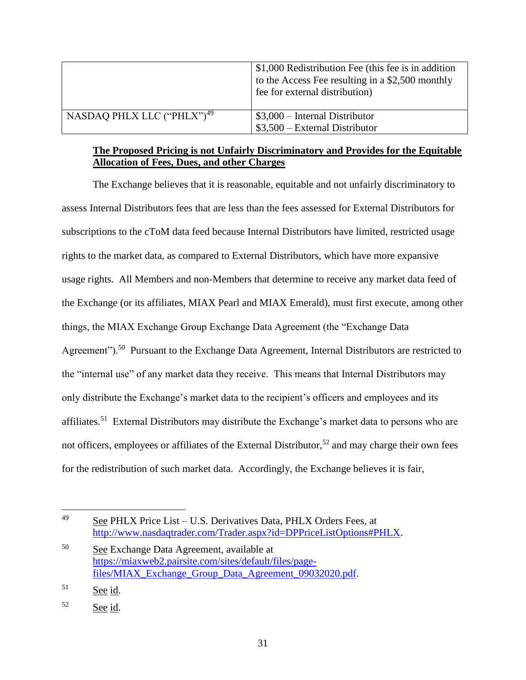|                                        | \$1,000 Redistribution Fee (this fee is in addition<br>to the Access Fee resulting in a \$2,500 monthly<br>fee for external distribution) |
|----------------------------------------|-------------------------------------------------------------------------------------------------------------------------------------------|
| NASDAQ PHLX LLC ("PHLX") <sup>49</sup> | $$3,000$ – Internal Distributor                                                                                                           |
|                                        | $$3,500$ – External Distributor                                                                                                           |

# **The Proposed Pricing is not Unfairly Discriminatory and Provides for the Equitable Allocation of Fees, Dues, and other Charges**

<span id="page-30-0"></span>The Exchange believes that it is reasonable, equitable and not unfairly discriminatory to assess Internal Distributors fees that are less than the fees assessed for External Distributors for subscriptions to the cToM data feed because Internal Distributors have limited, restricted usage rights to the market data, as compared to External Distributors, which have more expansive usage rights. All Members and non-Members that determine to receive any market data feed of the Exchange (or its affiliates, MIAX Pearl and MIAX Emerald), must first execute, among other things, the MIAX Exchange Group Exchange Data Agreement (the "Exchange Data Agreement").<sup>50</sup> Pursuant to the Exchange Data Agreement, Internal Distributors are restricted to the "internal use" of any market data they receive. This means that Internal Distributors may only distribute the Exchange's market data to the recipient's officers and employees and its affiliates.<sup>51</sup> External Distributors may distribute the Exchange's market data to persons who are not officers, employees or affiliates of the External Distributor,<sup>52</sup> and may charge their own fees for the redistribution of such market data. Accordingly, the Exchange believes it is fair,

<span id="page-30-1"></span> $^{49}$  See PHLX Price List – U.S. Derivatives Data, PHLX Orders Fees, at [http://www.nasdaqtrader.com/Trader.aspx?id=DPPriceListOptions#PHLX.](http://www.nasdaqtrader.com/Trader.aspx?id=DPPriceListOptions#PHLX)

<sup>50</sup> See Exchange Data Agreement, available at [https://miaxweb2.pairsite.com/sites/default/files/page](https://miaxweb2.pairsite.com/sites/default/files/page-files/MIAX_Exchange_Group_Data_Agreement_09032020.pdf)[files/MIAX\\_Exchange\\_Group\\_Data\\_Agreement\\_09032020.pdf.](https://miaxweb2.pairsite.com/sites/default/files/page-files/MIAX_Exchange_Group_Data_Agreement_09032020.pdf)

 $51$  See id.

<sup>52</sup> See id.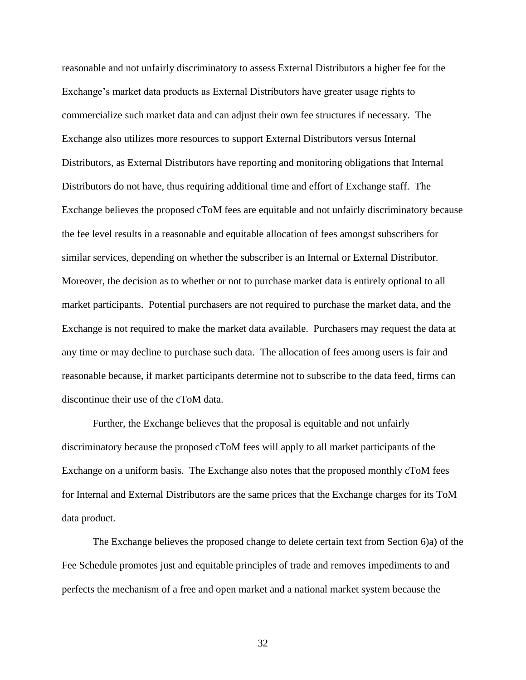reasonable and not unfairly discriminatory to assess External Distributors a higher fee for the Exchange's market data products as External Distributors have greater usage rights to commercialize such market data and can adjust their own fee structures if necessary. The Exchange also utilizes more resources to support External Distributors versus Internal Distributors, as External Distributors have reporting and monitoring obligations that Internal Distributors do not have, thus requiring additional time and effort of Exchange staff. The Exchange believes the proposed cToM fees are equitable and not unfairly discriminatory because the fee level results in a reasonable and equitable allocation of fees amongst subscribers for similar services, depending on whether the subscriber is an Internal or External Distributor. Moreover, the decision as to whether or not to purchase market data is entirely optional to all market participants. Potential purchasers are not required to purchase the market data, and the Exchange is not required to make the market data available. Purchasers may request the data at any time or may decline to purchase such data. The allocation of fees among users is fair and reasonable because, if market participants determine not to subscribe to the data feed, firms can discontinue their use of the cToM data.

Further, the Exchange believes that the proposal is equitable and not unfairly discriminatory because the proposed cToM fees will apply to all market participants of the Exchange on a uniform basis. The Exchange also notes that the proposed monthly cToM fees for Internal and External Distributors are the same prices that the Exchange charges for its ToM data product.

The Exchange believes the proposed change to delete certain text from Section 6)a) of the Fee Schedule promotes just and equitable principles of trade and removes impediments to and perfects the mechanism of a free and open market and a national market system because the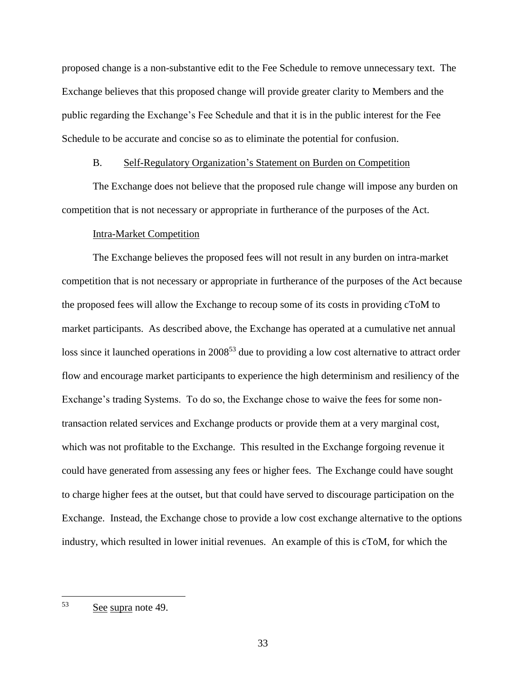proposed change is a non-substantive edit to the Fee Schedule to remove unnecessary text. The Exchange believes that this proposed change will provide greater clarity to Members and the public regarding the Exchange's Fee Schedule and that it is in the public interest for the Fee Schedule to be accurate and concise so as to eliminate the potential for confusion.

## B. Self-Regulatory Organization's Statement on Burden on Competition

The Exchange does not believe that the proposed rule change will impose any burden on competition that is not necessary or appropriate in furtherance of the purposes of the Act.

### Intra-Market Competition

The Exchange believes the proposed fees will not result in any burden on intra-market competition that is not necessary or appropriate in furtherance of the purposes of the Act because the proposed fees will allow the Exchange to recoup some of its costs in providing cToM to market participants. As described above, the Exchange has operated at a cumulative net annual loss since it launched operations in 2008<sup>53</sup> due to providing a low cost alternative to attract order flow and encourage market participants to experience the high determinism and resiliency of the Exchange's trading Systems. To do so, the Exchange chose to waive the fees for some nontransaction related services and Exchange products or provide them at a very marginal cost, which was not profitable to the Exchange. This resulted in the Exchange forgoing revenue it could have generated from assessing any fees or higher fees. The Exchange could have sought to charge higher fees at the outset, but that could have served to discourage participation on the Exchange. Instead, the Exchange chose to provide a low cost exchange alternative to the options industry, which resulted in lower initial revenues. An example of this is cToM, for which the

<sup>53</sup> See supra note 49.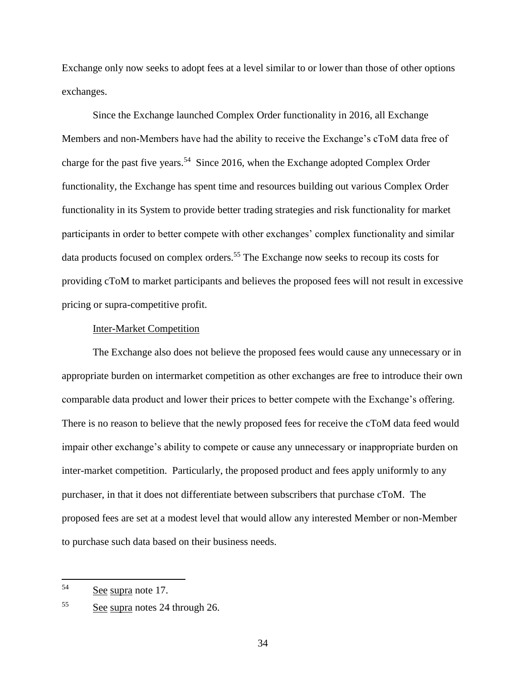Exchange only now seeks to adopt fees at a level similar to or lower than those of other options exchanges.

Since the Exchange launched Complex Order functionality in 2016, all Exchange Members and non-Members have had the ability to receive the Exchange's cToM data free of charge for the past five years.<sup>54</sup> Since 2016, when the Exchange adopted Complex Order functionality, the Exchange has spent time and resources building out various Complex Order functionality in its System to provide better trading strategies and risk functionality for market participants in order to better compete with other exchanges' complex functionality and similar data products focused on complex orders.<sup>55</sup> The Exchange now seeks to recoup its costs for providing cToM to market participants and believes the proposed fees will not result in excessive pricing or supra-competitive profit.

#### Inter-Market Competition

The Exchange also does not believe the proposed fees would cause any unnecessary or in appropriate burden on intermarket competition as other exchanges are free to introduce their own comparable data product and lower their prices to better compete with the Exchange's offering. There is no reason to believe that the newly proposed fees for receive the cToM data feed would impair other exchange's ability to compete or cause any unnecessary or inappropriate burden on inter-market competition. Particularly, the proposed product and fees apply uniformly to any purchaser, in that it does not differentiate between subscribers that purchase cToM. The proposed fees are set at a modest level that would allow any interested Member or non-Member to purchase such data based on their business needs.

<sup>54</sup> See supra note 17.

<sup>55</sup> See supra notes 24 through 26.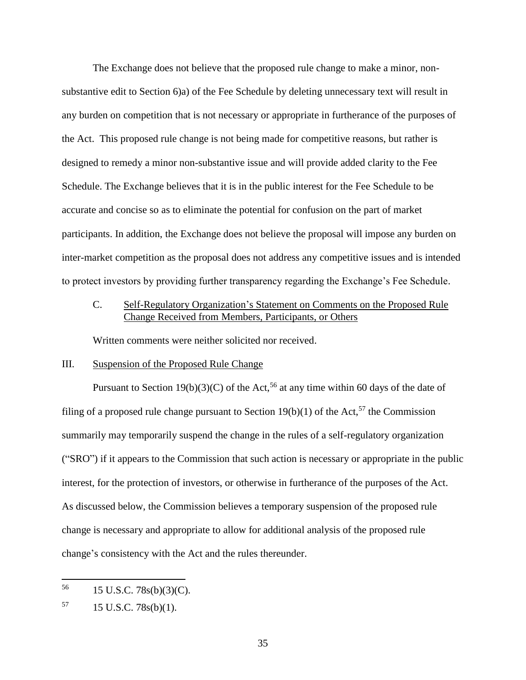The Exchange does not believe that the proposed rule change to make a minor, nonsubstantive edit to Section 6)a) of the Fee Schedule by deleting unnecessary text will result in any burden on competition that is not necessary or appropriate in furtherance of the purposes of the Act. This proposed rule change is not being made for competitive reasons, but rather is designed to remedy a minor non-substantive issue and will provide added clarity to the Fee Schedule. The Exchange believes that it is in the public interest for the Fee Schedule to be accurate and concise so as to eliminate the potential for confusion on the part of market participants. In addition, the Exchange does not believe the proposal will impose any burden on inter-market competition as the proposal does not address any competitive issues and is intended to protect investors by providing further transparency regarding the Exchange's Fee Schedule.

# C. Self-Regulatory Organization's Statement on Comments on the Proposed Rule Change Received from Members, Participants, or Others

Written comments were neither solicited nor received.

## III. Suspension of the Proposed Rule Change

Pursuant to Section 19(b)(3)(C) of the Act,<sup>56</sup> at any time within 60 days of the date of filing of a proposed rule change pursuant to Section 19(b)(1) of the Act,<sup>57</sup> the Commission summarily may temporarily suspend the change in the rules of a self-regulatory organization ("SRO") if it appears to the Commission that such action is necessary or appropriate in the public interest, for the protection of investors, or otherwise in furtherance of the purposes of the Act. As discussed below, the Commission believes a temporary suspension of the proposed rule change is necessary and appropriate to allow for additional analysis of the proposed rule change's consistency with the Act and the rules thereunder.

<sup>56</sup> 15 U.S.C. 78s(b)(3)(C).

 $^{57}$  15 U.S.C. 78s(b)(1).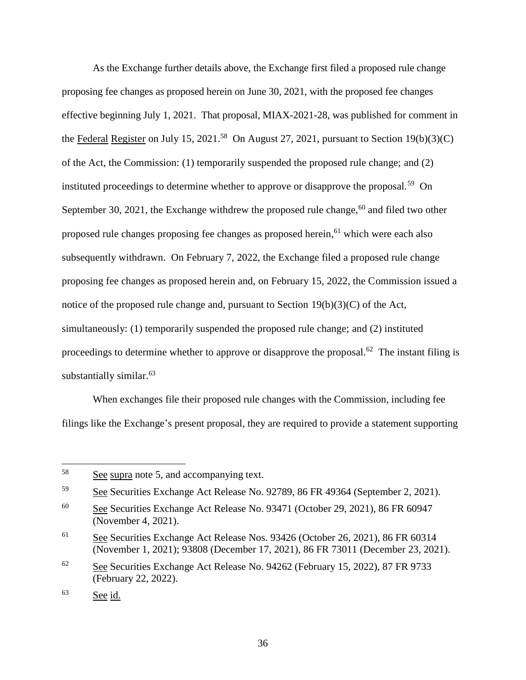As the Exchange further details above, the Exchange first filed a proposed rule change proposing fee changes as proposed herein on June 30, 2021, with the proposed fee changes effective beginning July 1, 2021. That proposal, MIAX-2021-28, was published for comment in the Federal Register on July 15, 2021.<sup>58</sup> On August 27, 2021, pursuant to Section 19(b)(3)(C) of the Act, the Commission: (1) temporarily suspended the proposed rule change; and (2) instituted proceedings to determine whether to approve or disapprove the proposal.<sup>59</sup> On September 30, 2021, the Exchange withdrew the proposed rule change,  $60$  and filed two other proposed rule changes proposing fee changes as proposed herein, <sup>61</sup> which were each also subsequently withdrawn. On February 7, 2022, the Exchange filed a proposed rule change proposing fee changes as proposed herein and, on February 15, 2022, the Commission issued a notice of the proposed rule change and, pursuant to Section 19(b)(3)(C) of the Act, simultaneously: (1) temporarily suspended the proposed rule change; and (2) instituted proceedings to determine whether to approve or disapprove the proposal.<sup>62</sup> The instant filing is substantially similar.<sup>63</sup>

When exchanges file their proposed rule changes with the Commission, including fee filings like the Exchange's present proposal, they are required to provide a statement supporting

<sup>&</sup>lt;sup>58</sup> See supra note [5,](#page-1-0) and accompanying text.

<sup>59</sup> See Securities Exchange Act Release No. 92789, 86 FR 49364 (September 2, 2021).

<sup>60</sup> See Securities Exchange Act Release No. 93471 (October 29, 2021), 86 FR 60947 (November 4, 2021).

<sup>61</sup> See Securities Exchange Act Release Nos. 93426 (October 26, 2021), 86 FR 60314 (November 1, 2021); 93808 (December 17, 2021), 86 FR 73011 (December 23, 2021).

<sup>62</sup> See Securities Exchange Act Release No. 94262 (February 15, 2022), 87 FR 9733 (February 22, 2022).

<sup>63</sup> See id.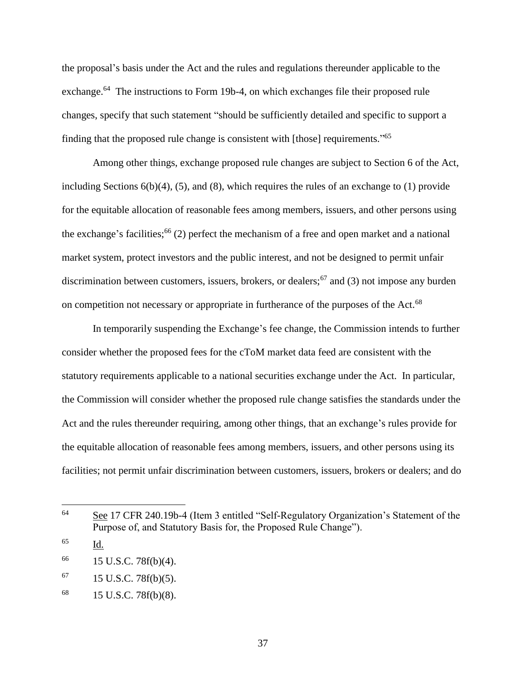the proposal's basis under the Act and the rules and regulations thereunder applicable to the exchange.<sup>64</sup> The instructions to Form 19b-4, on which exchanges file their proposed rule changes, specify that such statement "should be sufficiently detailed and specific to support a finding that the proposed rule change is consistent with [those] requirements."<sup>65</sup>

Among other things, exchange proposed rule changes are subject to Section 6 of the Act, including Sections  $6(b)(4)$ ,  $(5)$ , and  $(8)$ , which requires the rules of an exchange to  $(1)$  provide for the equitable allocation of reasonable fees among members, issuers, and other persons using the exchange's facilities;<sup>66</sup> (2) perfect the mechanism of a free and open market and a national market system, protect investors and the public interest, and not be designed to permit unfair discrimination between customers, issuers, brokers, or dealers;  $\frac{67}{3}$  and (3) not impose any burden on competition not necessary or appropriate in furtherance of the purposes of the Act.<sup>68</sup>

In temporarily suspending the Exchange's fee change, the Commission intends to further consider whether the proposed fees for the cToM market data feed are consistent with the statutory requirements applicable to a national securities exchange under the Act. In particular, the Commission will consider whether the proposed rule change satisfies the standards under the Act and the rules thereunder requiring, among other things, that an exchange's rules provide for the equitable allocation of reasonable fees among members, issuers, and other persons using its facilities; not permit unfair discrimination between customers, issuers, brokers or dealers; and do

<sup>64</sup> See 17 CFR 240.19b-4 (Item 3 entitled "Self-Regulatory Organization's Statement of the Purpose of, and Statutory Basis for, the Proposed Rule Change").

<sup>65</sup> Id.

<sup>66</sup> 15 U.S.C. 78f(b)(4).

 $67$  15 U.S.C. 78 $f(b)(5)$ .

 $^{68}$  15 U.S.C. 78f(b)(8).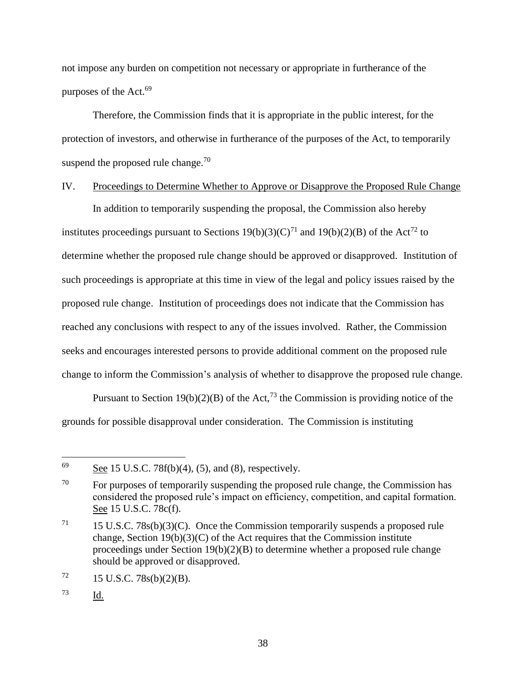not impose any burden on competition not necessary or appropriate in furtherance of the purposes of the Act.<sup>69</sup>

Therefore, the Commission finds that it is appropriate in the public interest, for the protection of investors, and otherwise in furtherance of the purposes of the Act, to temporarily suspend the proposed rule change. $^{70}$ 

## IV. Proceedings to Determine Whether to Approve or Disapprove the Proposed Rule Change

In addition to temporarily suspending the proposal, the Commission also hereby institutes proceedings pursuant to Sections 19(b)(3)(C)<sup>71</sup> and 19(b)(2)(B) of the Act<sup>72</sup> to determine whether the proposed rule change should be approved or disapproved. Institution of such proceedings is appropriate at this time in view of the legal and policy issues raised by the proposed rule change. Institution of proceedings does not indicate that the Commission has reached any conclusions with respect to any of the issues involved. Rather, the Commission seeks and encourages interested persons to provide additional comment on the proposed rule change to inform the Commission's analysis of whether to disapprove the proposed rule change.

Pursuant to Section 19(b)(2)(B) of the Act,<sup>73</sup> the Commission is providing notice of the grounds for possible disapproval under consideration. The Commission is instituting

<sup>73</sup> Id.

<sup>69</sup> See 15 U.S.C.  $78f(b)(4)$ ,  $(5)$ , and  $(8)$ , respectively.

 $70$  For purposes of temporarily suspending the proposed rule change, the Commission has considered the proposed rule's impact on efficiency, competition, and capital formation. See 15 U.S.C. 78c(f).

<sup>&</sup>lt;sup>71</sup> 15 U.S.C. 78s(b)(3)(C). Once the Commission temporarily suspends a proposed rule change, Section  $19(b)(3)(C)$  of the Act requires that the Commission institute proceedings under Section 19(b)(2)(B) to determine whether a proposed rule change should be approved or disapproved.

 $72 \qquad 15 \text{ U.S.C. } 78\text{s(b)}(2)(\text{B}).$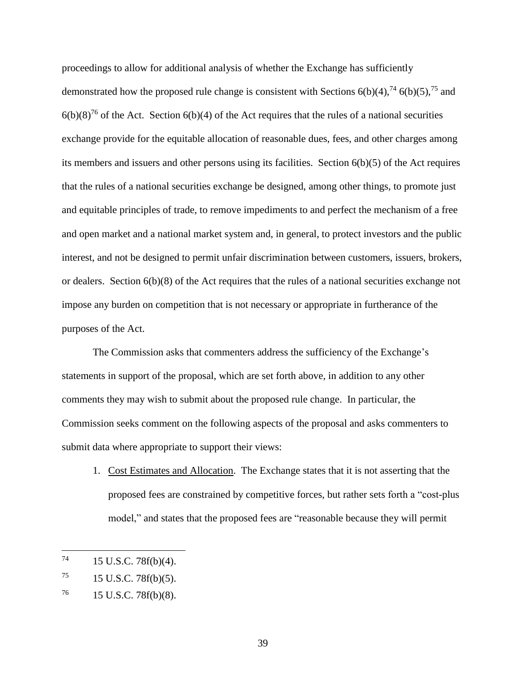proceedings to allow for additional analysis of whether the Exchange has sufficiently demonstrated how the proposed rule change is consistent with Sections  $6(b)(4)$ ,  $^{74}$   $6(b)(5)$ ,  $^{75}$  and  $6(b)(8)^{76}$  of the Act. Section  $6(b)(4)$  of the Act requires that the rules of a national securities exchange provide for the equitable allocation of reasonable dues, fees, and other charges among its members and issuers and other persons using its facilities. Section 6(b)(5) of the Act requires that the rules of a national securities exchange be designed, among other things, to promote just and equitable principles of trade, to remove impediments to and perfect the mechanism of a free and open market and a national market system and, in general, to protect investors and the public interest, and not be designed to permit unfair discrimination between customers, issuers, brokers, or dealers. Section 6(b)(8) of the Act requires that the rules of a national securities exchange not impose any burden on competition that is not necessary or appropriate in furtherance of the purposes of the Act.

The Commission asks that commenters address the sufficiency of the Exchange's statements in support of the proposal, which are set forth above, in addition to any other comments they may wish to submit about the proposed rule change. In particular, the Commission seeks comment on the following aspects of the proposal and asks commenters to submit data where appropriate to support their views:

1. Cost Estimates and Allocation. The Exchange states that it is not asserting that the proposed fees are constrained by competitive forces, but rather sets forth a "cost-plus model," and states that the proposed fees are "reasonable because they will permit

<sup>74</sup> 15 U.S.C. 78f(b)(4).

 $^{75}$  15 U.S.C. 78f(b)(5).

 $^{76}$  15 U.S.C. 78f(b)(8).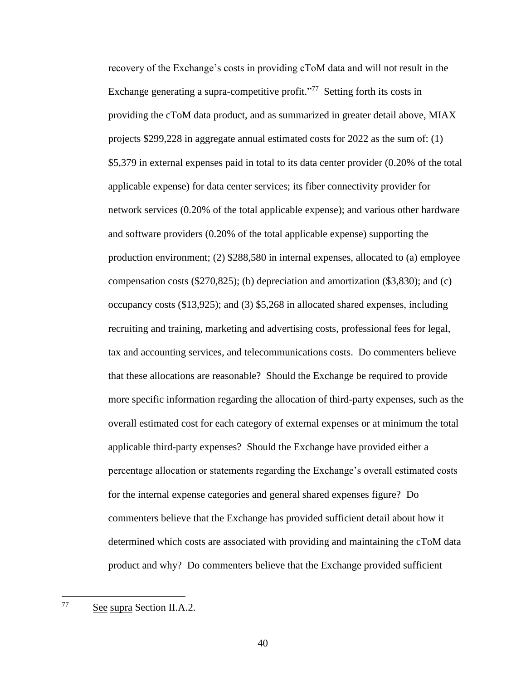recovery of the Exchange's costs in providing cToM data and will not result in the Exchange generating a supra-competitive profit."<sup>77</sup> Setting forth its costs in providing the cToM data product, and as summarized in greater detail above, MIAX projects \$299,228 in aggregate annual estimated costs for 2022 as the sum of: (1) \$5,379 in external expenses paid in total to its data center provider (0.20% of the total applicable expense) for data center services; its fiber connectivity provider for network services (0.20% of the total applicable expense); and various other hardware and software providers (0.20% of the total applicable expense) supporting the production environment; (2) \$288,580 in internal expenses, allocated to (a) employee compensation costs (\$270,825); (b) depreciation and amortization (\$3,830); and (c) occupancy costs (\$13,925); and (3) \$5,268 in allocated shared expenses, including recruiting and training, marketing and advertising costs, professional fees for legal, tax and accounting services, and telecommunications costs. Do commenters believe that these allocations are reasonable? Should the Exchange be required to provide more specific information regarding the allocation of third-party expenses, such as the overall estimated cost for each category of external expenses or at minimum the total applicable third-party expenses? Should the Exchange have provided either a percentage allocation or statements regarding the Exchange's overall estimated costs for the internal expense categories and general shared expenses figure? Do commenters believe that the Exchange has provided sufficient detail about how it determined which costs are associated with providing and maintaining the cToM data product and why? Do commenters believe that the Exchange provided sufficient

77 See supra Section II.A.2.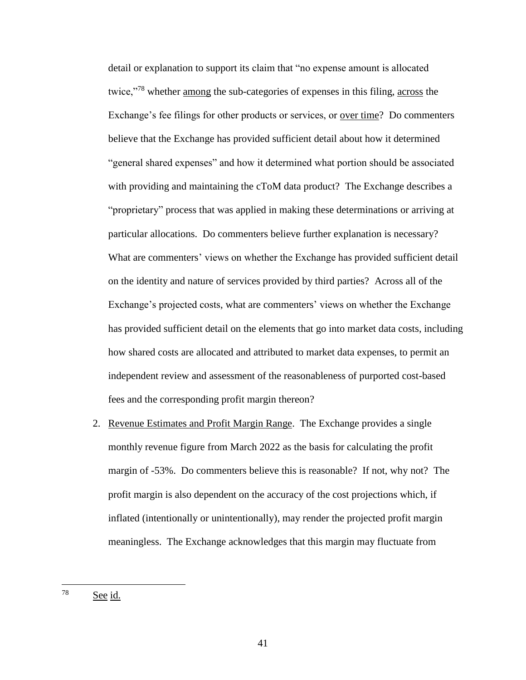detail or explanation to support its claim that "no expense amount is allocated twice,"<sup>78</sup> whether among the sub-categories of expenses in this filing, across the Exchange's fee filings for other products or services, or over time? Do commenters believe that the Exchange has provided sufficient detail about how it determined "general shared expenses" and how it determined what portion should be associated with providing and maintaining the cToM data product? The Exchange describes a "proprietary" process that was applied in making these determinations or arriving at particular allocations. Do commenters believe further explanation is necessary? What are commenters' views on whether the Exchange has provided sufficient detail on the identity and nature of services provided by third parties? Across all of the Exchange's projected costs, what are commenters' views on whether the Exchange has provided sufficient detail on the elements that go into market data costs, including how shared costs are allocated and attributed to market data expenses, to permit an independent review and assessment of the reasonableness of purported cost-based fees and the corresponding profit margin thereon?

2. Revenue Estimates and Profit Margin Range. The Exchange provides a single monthly revenue figure from March 2022 as the basis for calculating the profit margin of -53%. Do commenters believe this is reasonable? If not, why not? The profit margin is also dependent on the accuracy of the cost projections which, if inflated (intentionally or unintentionally), may render the projected profit margin meaningless. The Exchange acknowledges that this margin may fluctuate from

<sup>78</sup> See id.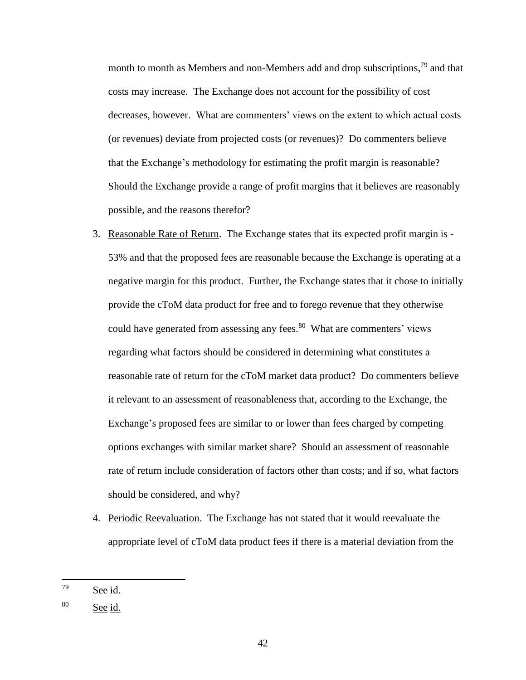month to month as Members and non-Members add and drop subscriptions,<sup>79</sup> and that costs may increase. The Exchange does not account for the possibility of cost decreases, however. What are commenters' views on the extent to which actual costs (or revenues) deviate from projected costs (or revenues)? Do commenters believe that the Exchange's methodology for estimating the profit margin is reasonable? Should the Exchange provide a range of profit margins that it believes are reasonably possible, and the reasons therefor?

- 3. Reasonable Rate of Return. The Exchange states that its expected profit margin is 53% and that the proposed fees are reasonable because the Exchange is operating at a negative margin for this product. Further, the Exchange states that it chose to initially provide the cToM data product for free and to forego revenue that they otherwise could have generated from assessing any fees. $80$  What are commenters' views regarding what factors should be considered in determining what constitutes a reasonable rate of return for the cToM market data product? Do commenters believe it relevant to an assessment of reasonableness that, according to the Exchange, the Exchange's proposed fees are similar to or lower than fees charged by competing options exchanges with similar market share? Should an assessment of reasonable rate of return include consideration of factors other than costs; and if so, what factors should be considered, and why?
- 4. Periodic Reevaluation. The Exchange has not stated that it would reevaluate the appropriate level of cToM data product fees if there is a material deviation from the

 $79$  See id.

<sup>80</sup> See id.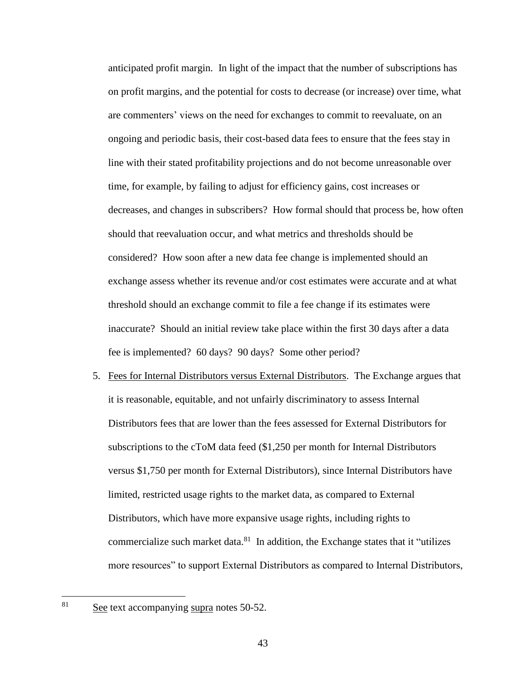anticipated profit margin. In light of the impact that the number of subscriptions has on profit margins, and the potential for costs to decrease (or increase) over time, what are commenters' views on the need for exchanges to commit to reevaluate, on an ongoing and periodic basis, their cost-based data fees to ensure that the fees stay in line with their stated profitability projections and do not become unreasonable over time, for example, by failing to adjust for efficiency gains, cost increases or decreases, and changes in subscribers? How formal should that process be, how often should that reevaluation occur, and what metrics and thresholds should be considered? How soon after a new data fee change is implemented should an exchange assess whether its revenue and/or cost estimates were accurate and at what threshold should an exchange commit to file a fee change if its estimates were inaccurate? Should an initial review take place within the first 30 days after a data fee is implemented? 60 days? 90 days? Some other period?

5. Fees for Internal Distributors versus External Distributors. The Exchange argues that it is reasonable, equitable, and not unfairly discriminatory to assess Internal Distributors fees that are lower than the fees assessed for External Distributors for subscriptions to the cToM data feed (\$1,250 per month for Internal Distributors versus \$1,750 per month for External Distributors), since Internal Distributors have limited, restricted usage rights to the market data, as compared to External Distributors, which have more expansive usage rights, including rights to commercialize such market data. $81$  In addition, the Exchange states that it "utilizes" more resources" to support External Distributors as compared to Internal Distributors,

See text accompanying supra notes [50](#page-30-0)[-52.](#page-30-1)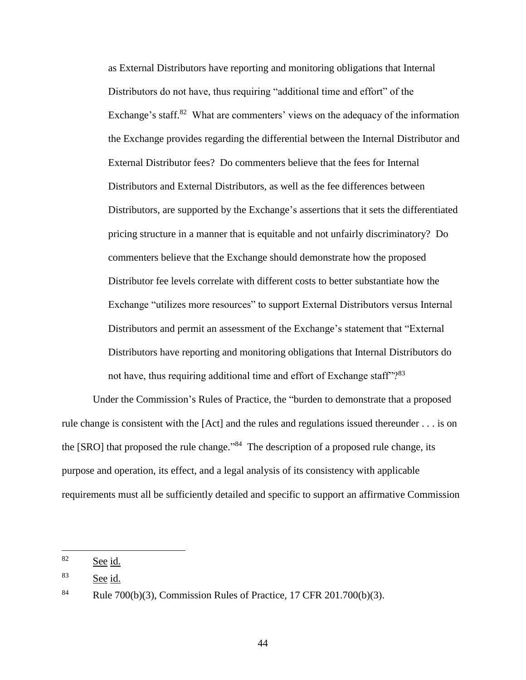as External Distributors have reporting and monitoring obligations that Internal Distributors do not have, thus requiring "additional time and effort" of the Exchange's staff.<sup>82</sup> What are commenters' views on the adequacy of the information the Exchange provides regarding the differential between the Internal Distributor and External Distributor fees? Do commenters believe that the fees for Internal Distributors and External Distributors, as well as the fee differences between Distributors, are supported by the Exchange's assertions that it sets the differentiated pricing structure in a manner that is equitable and not unfairly discriminatory? Do commenters believe that the Exchange should demonstrate how the proposed Distributor fee levels correlate with different costs to better substantiate how the Exchange "utilizes more resources" to support External Distributors versus Internal Distributors and permit an assessment of the Exchange's statement that "External Distributors have reporting and monitoring obligations that Internal Distributors do not have, thus requiring additional time and effort of Exchange staff"?<sup>83</sup>

Under the Commission's Rules of Practice, the "burden to demonstrate that a proposed rule change is consistent with the [Act] and the rules and regulations issued thereunder . . . is on the [SRO] that proposed the rule change."<sup>84</sup> The description of a proposed rule change, its purpose and operation, its effect, and a legal analysis of its consistency with applicable requirements must all be sufficiently detailed and specific to support an affirmative Commission

<sup>82</sup> See id.

<sup>83</sup> See id.

<sup>84</sup> Rule 700(b)(3), Commission Rules of Practice, 17 CFR 201.700(b)(3).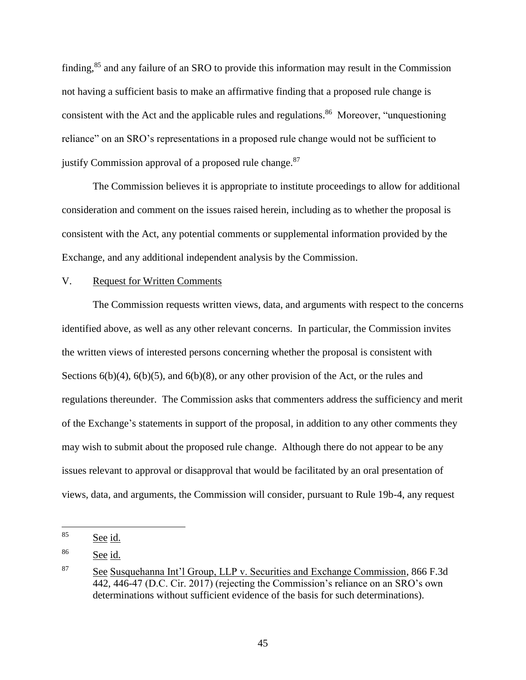finding,<sup>85</sup> and any failure of an SRO to provide this information may result in the Commission not having a sufficient basis to make an affirmative finding that a proposed rule change is consistent with the Act and the applicable rules and regulations.<sup>86</sup> Moreover, "unquestioning reliance" on an SRO's representations in a proposed rule change would not be sufficient to justify Commission approval of a proposed rule change. $87$ 

The Commission believes it is appropriate to institute proceedings to allow for additional consideration and comment on the issues raised herein, including as to whether the proposal is consistent with the Act, any potential comments or supplemental information provided by the Exchange, and any additional independent analysis by the Commission.

## V. Request for Written Comments

The Commission requests written views, data, and arguments with respect to the concerns identified above, as well as any other relevant concerns. In particular, the Commission invites the written views of interested persons concerning whether the proposal is consistent with Sections  $6(b)(4)$ ,  $6(b)(5)$ , and  $6(b)(8)$ , or any other provision of the Act, or the rules and regulations thereunder. The Commission asks that commenters address the sufficiency and merit of the Exchange's statements in support of the proposal, in addition to any other comments they may wish to submit about the proposed rule change. Although there do not appear to be any issues relevant to approval or disapproval that would be facilitated by an oral presentation of views, data, and arguments, the Commission will consider, pursuant to Rule 19b-4, any request

<sup>85</sup> See id.

<sup>86</sup> See id.

<sup>87</sup> See Susquehanna Int'l Group, LLP v. Securities and Exchange Commission, 866 F.3d 442, 446-47 (D.C. Cir. 2017) (rejecting the Commission's reliance on an SRO's own determinations without sufficient evidence of the basis for such determinations).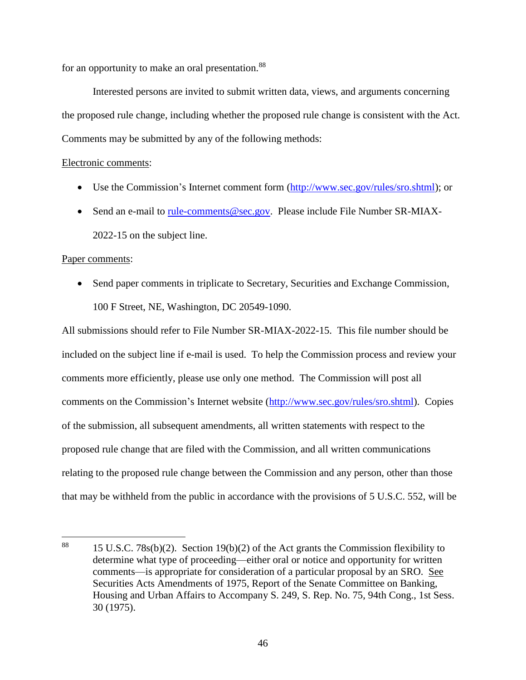for an opportunity to make an oral presentation.<sup>88</sup>

Interested persons are invited to submit written data, views, and arguments concerning the proposed rule change, including whether the proposed rule change is consistent with the Act. Comments may be submitted by any of the following methods:

## Electronic comments:

- Use the Commission's Internet comment form [\(http://www.sec.gov/rules/sro.shtml\)](http://www.sec.gov/rules/sro.shtml); or
- Send an e-mail to <u>rule-comments@sec.gov</u>. Please include File Number SR-MIAX-2022-15 on the subject line.

## Paper comments:

• Send paper comments in triplicate to Secretary, Securities and Exchange Commission, 100 F Street, NE, Washington, DC 20549-1090.

All submissions should refer to File Number SR-MIAX-2022-15. This file number should be included on the subject line if e-mail is used. To help the Commission process and review your comments more efficiently, please use only one method. The Commission will post all comments on the Commission's Internet website (http://www.sec.gov/rules/sro.shtml). Copies of the submission, all subsequent amendments, all written statements with respect to the proposed rule change that are filed with the Commission, and all written communications relating to the proposed rule change between the Commission and any person, other than those that may be withheld from the public in accordance with the provisions of 5 U.S.C. 552, will be

<sup>88</sup> 15 U.S.C. 78 $s(b)(2)$ . Section 19(b)(2) of the Act grants the Commission flexibility to determine what type of proceeding—either oral or notice and opportunity for written comments—is appropriate for consideration of a particular proposal by an SRO. See Securities Acts Amendments of 1975, Report of the Senate Committee on Banking, Housing and Urban Affairs to Accompany S. 249, S. Rep. No. 75, 94th Cong., 1st Sess. 30 (1975).